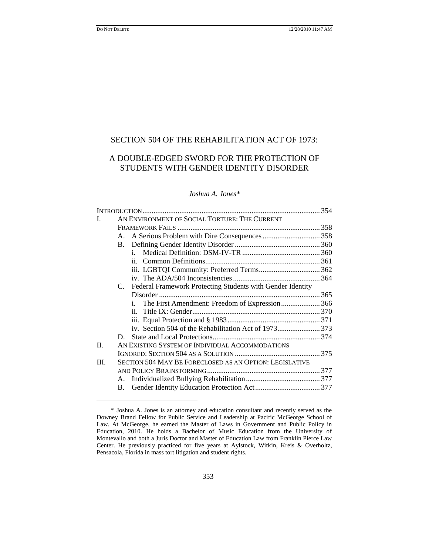# SECTION 504 OF THE REHABILITATION ACT OF 1973:

# A DOUBLE-EDGED SWORD FOR THE PROTECTION OF STUDENTS WITH GENDER IDENTITY DISORDER

## *Joshua A. Jones\**

| L    | AN ENVIRONMENT OF SOCIAL TORTURE: THE CURRENT   |                                                               |  |
|------|-------------------------------------------------|---------------------------------------------------------------|--|
|      |                                                 |                                                               |  |
|      | A.                                              |                                                               |  |
|      |                                                 |                                                               |  |
|      |                                                 | i.                                                            |  |
|      |                                                 |                                                               |  |
|      |                                                 |                                                               |  |
|      |                                                 |                                                               |  |
|      |                                                 | C. Federal Framework Protecting Students with Gender Identity |  |
|      |                                                 |                                                               |  |
|      |                                                 | i. The First Amendment: Freedom of Expression 366             |  |
|      |                                                 |                                                               |  |
|      |                                                 |                                                               |  |
|      |                                                 |                                                               |  |
|      | D.                                              |                                                               |  |
| II.  | AN EXISTING SYSTEM OF INDIVIDUAL ACCOMMODATIONS |                                                               |  |
|      |                                                 |                                                               |  |
| III. |                                                 | SECTION 504 MAY BE FORECLOSED AS AN OPTION: LEGISLATIVE       |  |
|      |                                                 |                                                               |  |
|      |                                                 |                                                               |  |
|      |                                                 |                                                               |  |
|      |                                                 |                                                               |  |

<sup>\*</sup> Joshua A. Jones is an attorney and education consultant and recently served as the Downey Brand Fellow for Public Service and Leadership at Pacific McGeorge School of Law. At McGeorge, he earned the Master of Laws in Government and Public Policy in Education, 2010. He holds a Bachelor of Music Education from the University of Montevallo and both a Juris Doctor and Master of Education Law from Franklin Pierce Law Center. He previously practiced for five years at Aylstock, Witkin, Kreis & Overholtz, Pensacola, Florida in mass tort litigation and student rights.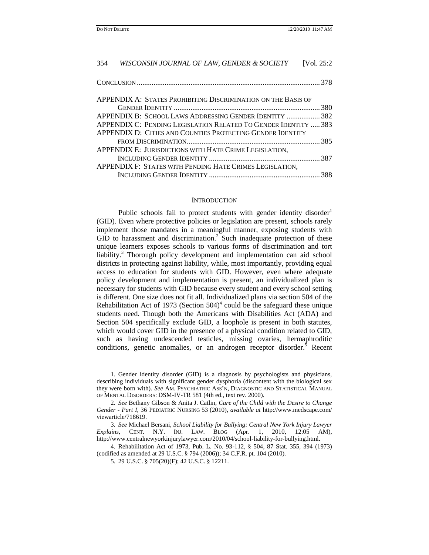| 354 | WISCONSIN JOURNAL OF LAW, GENDER & SOCIETY                      | [Vol. 25:2] |
|-----|-----------------------------------------------------------------|-------------|
|     |                                                                 |             |
|     | APPENDIX A: STATES PROHIBITING DISCRIMINATION ON THE BASIS OF   |             |
|     |                                                                 |             |
|     | APPENDIX B: SCHOOL LAWS ADDRESSING GENDER IDENTITY  382         |             |
|     | APPENDIX C: PENDING LEGISLATION RELATED TO GENDER IDENTITY  383 |             |
|     | APPENDIX D: CITIES AND COUNTIES PROTECTING GENDER IDENTITY      |             |
|     |                                                                 |             |
|     | APPENDIX E: JURISDICTIONS WITH HATE CRIME LEGISLATION.          |             |
|     |                                                                 |             |
|     | APPENDIX F: STATES WITH PENDING HATE CRIMES LEGISLATION,        |             |
|     |                                                                 |             |
|     |                                                                 |             |

### **INTRODUCTION**

Public schools fail to protect students with gender identity disorder<sup>1</sup> (GID). Even where protective policies or legislation are present, schools rarely implement those mandates in a meaningful manner, exposing students with GID to harassment and discrimination.<sup>2</sup> Such inadequate protection of these unique learners exposes schools to various forms of discrimination and tort liability.<sup>3</sup> Thorough policy development and implementation can aid school districts in protecting against liability, while, most importantly, providing equal access to education for students with GID. However, even where adequate policy development and implementation is present, an individualized plan is necessary for students with GID because every student and every school setting is different. One size does not fit all. Individualized plans via section 504 of the Rehabilitation Act of 1973 (Section  $504$ <sup>4</sup> could be the safeguard these unique students need. Though both the Americans with Disabilities Act (ADA) and Section 504 specifically exclude GID, a loophole is present in both statutes, which would cover GID in the presence of a physical condition related to GID, such as having undescended testicles, missing ovaries, hermaphroditic conditions, genetic anomalies, or an androgen receptor disorder.<sup>5</sup> Recent

<sup>1.</sup> Gender identity disorder (GID) is a diagnosis by psychologists and physicians, describing individuals with significant gender dysphoria (discontent with the biological sex they were born with). *See* AM. PSYCHIATRIC ASS"N, DIAGNOSTIC AND STATISTICAL MANUAL OF MENTAL DISORDERS: DSM-IV-TR 581 (4th ed., text rev. 2000).

<sup>2.</sup> *See* Bethany Gibson & Anita J. Catlin, *Care of the Child with the Desire to Change Gender - Part I*, 36 PEDIATRIC NURSING 53 (2010), *available at* http://www.medscape.com/ viewarticle/718619.

<sup>3.</sup> *See* Michael Bersani, *School Liability for Bullying: Central New York Injury Lawyer Explains*, CENT. N.Y. INJ. LAW. BLOG (Apr. 1, 2010, 12:05 AM), http://www.centralnewyorkinjurylawyer.com/2010/04/school-liability-for-bullying.html.

<sup>4.</sup> Rehabilitation Act of 1973, Pub. L. No. 93-112, § 504, 87 Stat. 355, 394 (1973) (codified as amended at 29 U.S.C. § 794 (2006)); 34 C.F.R. pt. 104 (2010).

<sup>5.</sup> 29 U.S.C. § 705(20)(F); 42 U.S.C. § 12211.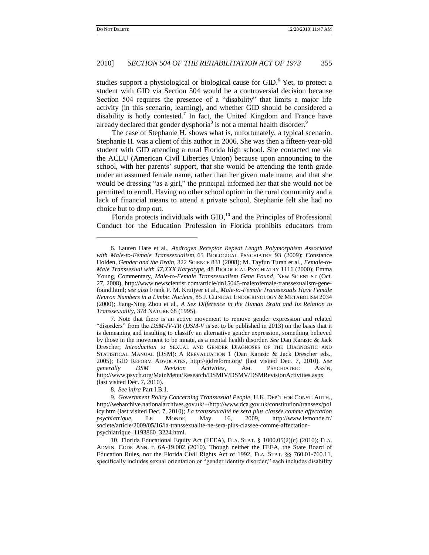## 2010] *SECTION 504 OF THE REHABILITATION ACT OF 1973* 355

studies support a physiological or biological cause for GID.<sup>6</sup> Yet, to protect a student with GID via Section 504 would be a controversial decision because Section 504 requires the presence of a "disability" that limits a major life activity (in this scenario, learning), and whether GID should be considered a disability is hotly contested.<sup>7</sup> In fact, the United Kingdom and France have already declared that gender dysphoria<sup>8</sup> is not a mental health disorder.<sup>9</sup>

The case of Stephanie H. shows what is, unfortunately, a typical scenario. Stephanie H. was a client of this author in 2006. She was then a fifteen-year-old student with GID attending a rural Florida high school. She contacted me via the ACLU (American Civil Liberties Union) because upon announcing to the school, with her parents' support, that she would be attending the tenth grade under an assumed female name, rather than her given male name, and that she would be dressing "as a girl," the principal informed her that she would not be permitted to enroll. Having no other school option in the rural community and a lack of financial means to attend a private school, Stephanie felt she had no choice but to drop out.

Florida protects individuals with  $GID$ ,<sup>10</sup> and the Principles of Professional Conduct for the Education Profession in Florida prohibits educators from

8. *See infra* Part I.B.1.

<sup>6.</sup> Lauren Hare et al., *Androgen Receptor Repeat Length Polymorphism Associated with Male-to-Female Transsexualism*, 65 BIOLOGICAL PSYCHIATRY 93 (2009); Constance Holden, *Gender and the Brain*, 322 SCIENCE 831 (2008); M. Tayfun Turan et al., *Female-to-Male Transsexual with 47,XXX Karyotype*, 48 BIOLOGICAL PSYCHIATRY 1116 (2000); Emma Young, Commentary, *Male-to-Female Transsexualism Gene Found*, NEW SCIENTIST (Oct. 27, 2008), http://www.newscientist.com/article/dn15045-maletofemale-transsexualism-genefound.html; *see also* Frank P. M. Kruijver et al., *Male-to-Female Transsexuals Have Female Neuron Numbers in a Limbic Nucleus*, 85 J. CLINICAL ENDOCRINOLOGY & METABOLISM 2034 (2000); Jiang-Ning Zhou et al., *A Sex Difference in the Human Brain and Its Relation to Transsexuality*, 378 NATURE 68 (1995).

<sup>7.</sup> Note that there is an active movement to remove gender expression and related "disorders" from the *DSM-IV-TR* (*DSM-V* is set to be published in 2013) on the basis that it is demeaning and insulting to classify an alternative gender expression, something believed by those in the movement to be innate, as a mental health disorder. *See* Dan Karasic & Jack Drescher, *Introduction* to SEXUAL AND GENDER DIAGNOSES OF THE DIAGNOSTIC AND STATISTICAL MANUAL (DSM): A REEVALUATION 1 (Dan Karasic & Jack Drescher eds., 2005); GID REFORM ADVOCATES, http://gidreform.org/ (last visited Dec. 7, 2010). *See generally DSM Revision Activities*, AM. PSYCHIATRIC ASS"N, http://www.psych.org/MainMenu/Research/DSMIV/DSMV/DSMRevisionActivities.aspx (last visited Dec. 7, 2010).

<sup>9.</sup> *Government Policy Concerning Transsexual People*, U.K. DEP"T FOR CONST. AUTH., http://webarchive.nationalarchives.gov.uk/+/http://www.dca.gov.uk/constitution/transsex/pol icy.htm (last visited Dec. 7, 2010); *La transsexualité ne sera plus classée comme affectation psychiatrique*, LE MONDE, May 16, 2009, http://www.lemonde.fr/ societe/article/2009/05/16/la-transsexualite-ne-sera-plus-classee-comme-affectationpsychiatrique\_1193860\_3224.html.

<sup>10.</sup> Florida Educational Equity Act (FEEA), FLA. STAT. § 1000.05(2)(c) (2010); FLA. ADMIN. CODE ANN. r. 6A-19.002 (2010). Though neither the FEEA, the State Board of Education Rules, nor the Florida Civil Rights Act of 1992, FLA. STAT. §§ 760.01-760.11, specifically includes sexual orientation or "gender identity disorder," each includes disability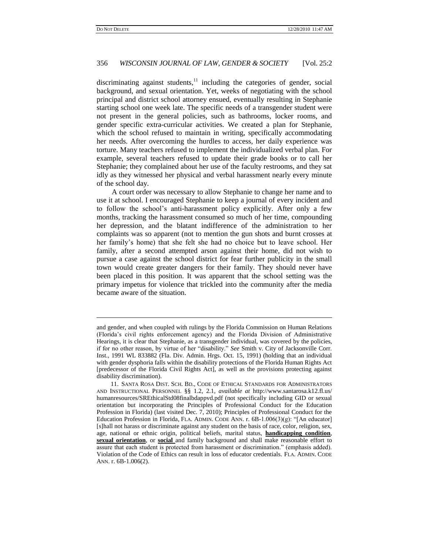## 356 *WISCONSIN JOURNAL OF LAW, GENDER & SOCIETY* [Vol. 25:2

discriminating against students, $11$  including the categories of gender, social background, and sexual orientation. Yet, weeks of negotiating with the school principal and district school attorney ensued, eventually resulting in Stephanie starting school one week late. The specific needs of a transgender student were not present in the general policies, such as bathrooms, locker rooms, and gender specific extra-curricular activities. We created a plan for Stephanie, which the school refused to maintain in writing, specifically accommodating her needs. After overcoming the hurdles to access, her daily experience was torture. Many teachers refused to implement the individualized verbal plan. For example, several teachers refused to update their grade books or to call her Stephanie; they complained about her use of the faculty restrooms, and they sat idly as they witnessed her physical and verbal harassment nearly every minute of the school day.

A court order was necessary to allow Stephanie to change her name and to use it at school. I encouraged Stephanie to keep a journal of every incident and to follow the school"s anti-harassment policy explicitly. After only a few months, tracking the harassment consumed so much of her time, compounding her depression, and the blatant indifference of the administration to her complaints was so apparent (not to mention the gun shots and burnt crosses at her family"s home) that she felt she had no choice but to leave school. Her family, after a second attempted arson against their home, did not wish to pursue a case against the school district for fear further publicity in the small town would create greater dangers for their family. They should never have been placed in this position. It was apparent that the school setting was the primary impetus for violence that trickled into the community after the media became aware of the situation.

and gender, and when coupled with rulings by the Florida Commission on Human Relations (Florida"s civil rights enforcement agency) and the Florida Division of Administrative Hearings, it is clear that Stephanie, as a transgender individual, was covered by the policies, if for no other reason, by virtue of her "disability." *See* Smith v. City of Jacksonville Corr. Inst., 1991 WL 833882 (Fla. Div. Admin. Hrgs. Oct. 15, 1991) (holding that an individual with gender dysphoria falls within the disability protections of the Florida Human Rights Act [predecessor of the Florida Civil Rights Act], as well as the provisions protecting against disability discrimination).

<sup>11.</sup> SANTA ROSA DIST. SCH. BD., CODE OF ETHICAL STANDARDS FOR ADMINISTRATORS AND INSTRUCTIONAL PERSONNEL §§ 1.2, 2.1, *available at* http://www.santarosa.k12.fl.us/ humanresources/SREthicalStd08finalbdappvd.pdf (not specifically including GID or sexual orientation but incorporating the Principles of Professional Conduct for the Education Profession in Florida) (last visited Dec. 7, 2010); Principles of Professional Conduct for the Education Profession in Florida, FLA. ADMIN. CODE ANN. r. 6B-1.006(3)(g): "[An educator] [s]hall not harass or discriminate against any student on the basis of race, color, religion, sex, age, national or ethnic origin, political beliefs, marital status, **handicapping condition**, **sexual orientation**, or **social** and family background and shall make reasonable effort to assure that each student is protected from harassment or discrimination." (emphasis added). Violation of the Code of Ethics can result in loss of educator credentials. FLA. ADMIN. CODE ANN. r. 6B-1.006(2).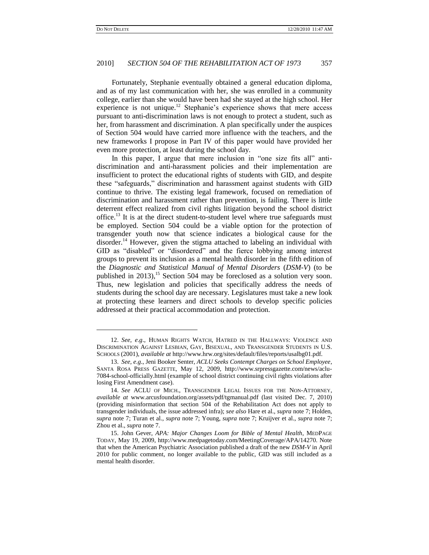l

#### 2010] *SECTION 504 OF THE REHABILITATION ACT OF 1973* 357

Fortunately, Stephanie eventually obtained a general education diploma, and as of my last communication with her, she was enrolled in a community college, earlier than she would have been had she stayed at the high school. Her experience is not unique.<sup>12</sup> Stephanie's experience shows that mere access pursuant to anti-discrimination laws is not enough to protect a student, such as her, from harassment and discrimination. A plan specifically under the auspices of Section 504 would have carried more influence with the teachers, and the new frameworks I propose in Part IV of this paper would have provided her even more protection, at least during the school day.

In this paper, I argue that mere inclusion in "one size fits all" antidiscrimination and anti-harassment policies and their implementation are insufficient to protect the educational rights of students with GID, and despite these "safeguards," discrimination and harassment against students with GID continue to thrive. The existing legal framework, focused on remediation of discrimination and harassment rather than prevention, is failing. There is little deterrent effect realized from civil rights litigation beyond the school district office.<sup>13</sup> It is at the direct student-to-student level where true safeguards must be employed. Section 504 could be a viable option for the protection of transgender youth now that science indicates a biological cause for the disorder.<sup>14</sup> However, given the stigma attached to labeling an individual with GID as "disabled" or "disordered" and the fierce lobbying among interest groups to prevent its inclusion as a mental health disorder in the fifth edition of the *Diagnostic and Statistical Manual of Mental Disorders* (*DSM-V*) (to be published in 2013),<sup>15</sup> Section 504 may be foreclosed as a solution very soon. Thus, new legislation and policies that specifically address the needs of students during the school day are necessary. Legislatures must take a new look at protecting these learners and direct schools to develop specific policies addressed at their practical accommodation and protection.

<sup>12.</sup> *See, e*.*g*., HUMAN RIGHTS WATCH, HATRED IN THE HALLWAYS: VIOLENCE AND DISCRIMINATION AGAINST LESBIAN, GAY, BISEXUAL, AND TRANSGENDER STUDENTS IN U.S. SCHOOLS (2001), *available at* http://www.hrw.org/sites/default/files/reports/usalbg01.pdf.

<sup>13.</sup> *See, e*.*g*., Jeni Booker Senter, *ACLU Seeks Contempt Charges on School Employee*, SANTA ROSA PRESS GAZETTE, May 12, 2009, http://www.srpressgazette.com/news/aclu-7084-school-officially.html (example of school district continuing civil rights violations after losing First Amendment case).

<sup>14.</sup> *See* ACLU OF MICH., TRANSGENDER LEGAL ISSUES FOR THE NON-ATTORNEY, *available at* www.arcusfoundation.org/assets/pdf/tgmanual.pdf (last visited Dec. 7, 2010) (providing misinformation that section 504 of the Rehabilitation Act does not apply to transgender individuals, the issue addressed infra); *see also* Hare et al., *supra* note 7; Holden, *supra* note 7; Turan et al., *supra* note 7; Young, *supra* note 7; Kruijver et al., *supra* note 7; Zhou et al., *supra* note 7.

<sup>15.</sup> John Gever, *APA: Major Changes Loom for Bible of Mental Health*, MEDPAGE TODAY, May 19, 2009, http://www.medpagetoday.com/MeetingCoverage/APA/14270. Note that when the American Psychiatric Association published a draft of the new *DSM-V* in April 2010 for public comment, no longer available to the public, GID was still included as a mental health disorder.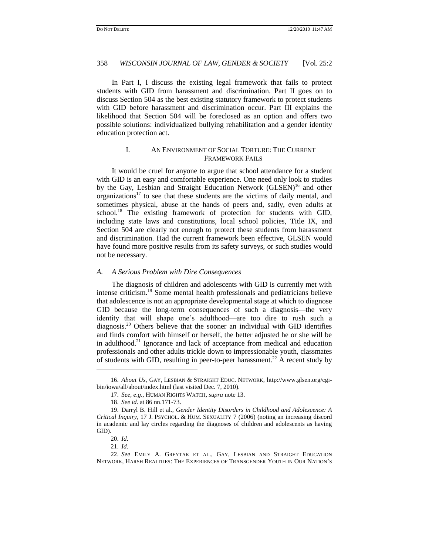In Part I, I discuss the existing legal framework that fails to protect students with GID from harassment and discrimination. Part II goes on to discuss Section 504 as the best existing statutory framework to protect students with GID before harassment and discrimination occur. Part III explains the likelihood that Section 504 will be foreclosed as an option and offers two possible solutions: individualized bullying rehabilitation and a gender identity education protection act.

## I. AN ENVIRONMENT OF SOCIAL TORTURE: THE CURRENT FRAMEWORK FAILS

It would be cruel for anyone to argue that school attendance for a student with GID is an easy and comfortable experience. One need only look to studies by the Gay, Lesbian and Straight Education Network  $(GLSEN)^{16}$  and other organizations $17$  to see that these students are the victims of daily mental, and sometimes physical, abuse at the hands of peers and, sadly, even adults at school.<sup>18</sup> The existing framework of protection for students with GID, including state laws and constitutions, local school policies, Title IX, and Section 504 are clearly not enough to protect these students from harassment and discrimination. Had the current framework been effective, GLSEN would have found more positive results from its safety surveys, or such studies would not be necessary.

#### *A. A Serious Problem with Dire Consequences*

The diagnosis of children and adolescents with GID is currently met with intense criticism.<sup>19</sup> Some mental health professionals and pediatricians believe that adolescence is not an appropriate developmental stage at which to diagnose GID because the long-term consequences of such a diagnosis—the very identity that will shape one's adulthood—are too dire to rush such a  $diagonosis.<sup>20</sup>$  Others believe that the sooner an individual with GID identifies and finds comfort with himself or herself, the better adjusted he or she will be in adulthood.<sup>21</sup> Ignorance and lack of acceptance from medical and education professionals and other adults trickle down to impressionable youth, classmates of students with GID, resulting in peer-to-peer harassment.<sup>22</sup> A recent study by

l

<sup>16.</sup> *About Us*, GAY, LESBIAN & STRAIGHT EDUC. NETWORK, http://www.glsen.org/cgibin/iowa/all/about/index.html (last visited Dec. 7, 2010).

<sup>17.</sup> *See, e*.*g*., HUMAN RIGHTS WATCH, *supra* note 13.

<sup>18.</sup> *See id*. at 86 nn.171-73.

<sup>19.</sup> Darryl B. Hill et al., *Gender Identity Disorders in Childhood and Adolescence: A Critical Inquiry*, 17 J. PSYCHOL. & HUM. SEXUALITY 7 (2006) (noting an increasing discord in academic and lay circles regarding the diagnoses of children and adolescents as having GID).

<sup>20.</sup> *Id*.

<sup>21.</sup> *Id*.

<sup>22.</sup> *See* EMILY A. GREYTAK ET AL., GAY, LESBIAN AND STRAIGHT EDUCATION NETWORK, HARSH REALITIES: THE EXPERIENCES OF TRANSGENDER YOUTH IN OUR NATION"S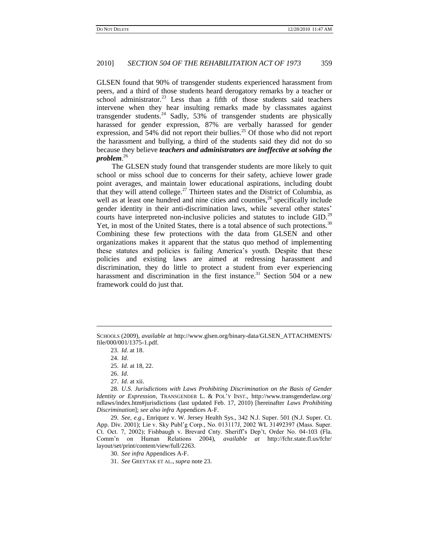GLSEN found that 90% of transgender students experienced harassment from peers, and a third of those students heard derogatory remarks by a teacher or school administrator.<sup>23</sup> Less than a fifth of those students said teachers intervene when they hear insulting remarks made by classmates against transgender students.<sup>24</sup> Sadly, 53% of transgender students are physically harassed for gender expression, 87% are verbally harassed for gender expression, and 54% did not report their bullies.<sup>25</sup> Of those who did not report the harassment and bullying, a third of the students said they did not do so because they believe *teachers and administrators are ineffective at solving the problem*. 26

The GLSEN study found that transgender students are more likely to quit school or miss school due to concerns for their safety, achieve lower grade point averages, and maintain lower educational aspirations, including doubt that they will attend college.<sup>27</sup> Thirteen states and the District of Columbia, as well as at least one hundred and nine cities and counties,<sup>28</sup> specifically include gender identity in their anti-discrimination laws, while several other states' courts have interpreted non-inclusive policies and statutes to include GID.<sup>29</sup> Yet, in most of the United States, there is a total absence of such protections.<sup>30</sup> Combining these few protections with the data from GLSEN and other organizations makes it apparent that the status quo method of implementing these statutes and policies is failing America"s youth. Despite that these policies and existing laws are aimed at redressing harassment and discrimination, they do little to protect a student from ever experiencing harassment and discrimination in the first instance.<sup>31</sup> Section 504 or a new framework could do just that.

 $\overline{a}$ 

27. *Id*. at xii.

28. *U*.*S*. *Jurisdictions with Laws Prohibiting Discrimination on the Basis of Gender Identity or Expression*, TRANSGENDER L. & POL"Y INST., http://www.transgenderlaw.org/ ndlaws/index.htm#jurisdictions (last updated Feb. 17, 2010) [hereinafter *Laws Prohibiting Discrimination*]; *see also infra* Appendices A-F.

29. *See, e*.*g*., Enriquez v. W. Jersey Health Sys., 342 N.J. Super. 501 (N.J. Super. Ct. App. Div. 2001); Lie v. Sky Publ"g Corp., No. 013117J, 2002 WL 31492397 (Mass. Super. Ct. Oct. 7, 2002); Fishbaugh v. Brevard Cnty. Sheriff"s Dep"t, Order No. 04-103 (Fla. Comm"n on Human Relations 2004), *available at* http://fchr.state.fl.us/fchr/ layout/set/print/content/view/full/2263.

30. *See infra* Appendices A-F.

SCHOOLS (2009), *available at* http://www.glsen.org/binary-data/GLSEN\_ATTACHMENTS/ file/000/001/1375-1.pdf.

<sup>23.</sup> *Id*. at 18.

<sup>24.</sup> *Id*.

<sup>25.</sup> *Id*. at 18, 22.

<sup>26.</sup> *Id*.

<sup>31.</sup> *See* GREYTAK ET AL., *supra* note 23.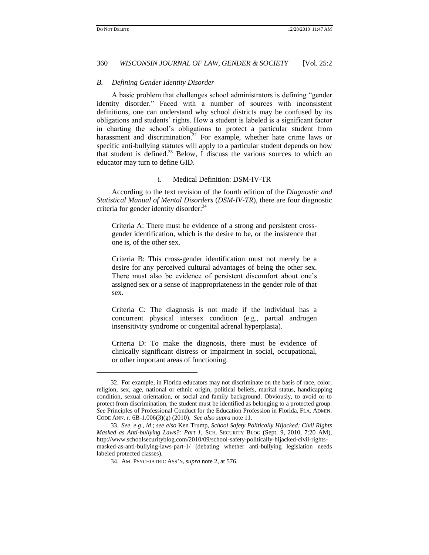### 360 *WISCONSIN JOURNAL OF LAW, GENDER & SOCIETY* [Vol. 25:2

#### *B. Defining Gender Identity Disorder*

A basic problem that challenges school administrators is defining "gender identity disorder." Faced with a number of sources with inconsistent definitions, one can understand why school districts may be confused by its obligations and students" rights. How a student is labeled is a significant factor in charting the school"s obligations to protect a particular student from harassment and discrimination.<sup>32</sup> For example, whether hate crime laws or specific anti-bullying statutes will apply to a particular student depends on how that student is defined. $33$  Below, I discuss the various sources to which an educator may turn to define GID.

#### i. Medical Definition: DSM-IV-TR

According to the text revision of the fourth edition of the *Diagnostic and Statistical Manual of Mental Disorders* (*DSM-IV-TR*), there are four diagnostic criteria for gender identity disorder:<sup>34</sup>

Criteria A: There must be evidence of a strong and persistent crossgender identification, which is the desire to be, or the insistence that one is, of the other sex.

Criteria B: This cross-gender identification must not merely be a desire for any perceived cultural advantages of being the other sex. There must also be evidence of persistent discomfort about one"s assigned sex or a sense of inappropriateness in the gender role of that sex.

Criteria C: The diagnosis is not made if the individual has a concurrent physical intersex condition (e.g., partial androgen insensitivity syndrome or congenital adrenal hyperplasia).

Criteria D: To make the diagnosis, there must be evidence of clinically significant distress or impairment in social, occupational, or other important areas of functioning.

<sup>32.</sup> For example, in Florida educators may not discriminate on the basis of race, color, religion, sex, age, national or ethnic origin, political beliefs, marital status, handicapping condition, sexual orientation, or social and family background. Obviously, to avoid or to protect from discrimination, the student must be identified as belonging to a protected group. *See* Principles of Professional Conduct for the Education Profession in Florida, FLA. ADMIN. CODE ANN. r. 6B-1.006(3)(g) (2010). *See also supra* note 11.

<sup>33.</sup> *See, e*.*g*., *id*.; *see also* Ken Trump, *School Safety Politically Hijacked: Civil Rights Masked as Anti-bullying Laws?: Part 1*, SCH. SECURITY BLOG (Sept. 9, 2010, 7:20 AM), http://www.schoolsecurityblog.com/2010/09/school-safety-politically-hijacked-civil-rightsmasked-as-anti-bullying-laws-part-1/ (debating whether anti-bullying legislation needs labeled protected classes).

<sup>34.</sup> AM. PSYCHIATRIC ASS"N, *supra* note 2, at 576.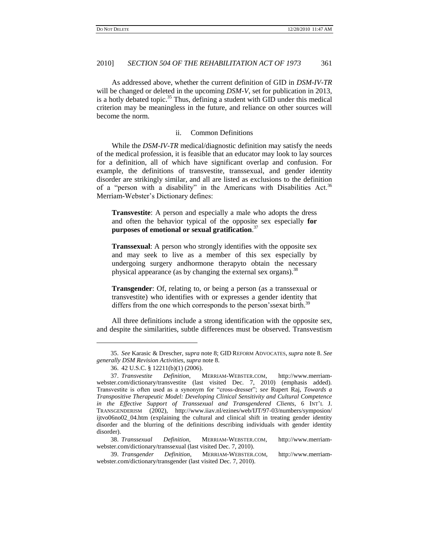As addressed above, whether the current definition of GID in *DSM-IV-TR* will be changed or deleted in the upcoming *DSM-V*, set for publication in 2013, is a hotly debated topic. $35$  Thus, defining a student with GID under this medical criterion may be meaningless in the future, and reliance on other sources will become the norm.

#### ii. Common Definitions

While the *DSM-IV-TR* medical/diagnostic definition may satisfy the needs of the medical profession, it is feasible that an educator may look to lay sources for a definition, all of which have significant overlap and confusion. For example, the definitions of transvestite, transsexual, and gender identity disorder are strikingly similar, and all are listed as exclusions to the definition of a "person with a disability" in the Americans with Disabilities Act.<sup>36</sup> Merriam-Webster"s Dictionary defines:

**Transvestite**: A person and especially a male who adopts the dress and often the behavior typical of the opposite sex especially **for purposes of emotional or sexual gratification**. 37

**Transsexual**: A person who strongly identifies with the opposite sex and may seek to live as a member of this sex especially by undergoing surgery andhormone therapyto obtain the necessary physical appearance (as by changing the external sex organs).<sup>38</sup>

**Transgender**: Of, relating to, or being a person (as a transsexual or transvestite) who identifies with or expresses a gender identity that differs from the one which corresponds to the person's sexat birth.<sup>39</sup>

All three definitions include a strong identification with the opposite sex, and despite the similarities, subtle differences must be observed. Transvestism

 $\overline{a}$ 

<sup>35.</sup> *See* Karasic & Drescher, *supra* note 8; GID REFORM ADVOCATES, *supra* note 8. *See generally DSM Revision Activities*, *supra* note 8.

<sup>36.</sup> 42 U.S.C. § 12211(b)(1) (2006).

<sup>37.</sup> *Transvestite Definition*, MERRIAM-WEBSTER.COM, http://www.merriamwebster.com/dictionary/transvestite (last visited Dec. 7, 2010) (emphasis added). Transvestite is often used as a synonym for "cross-dresser"; *see* Rupert Raj, *Towards a Transpositive Therapeutic Model: Developing Clinical Sensitivity and Cultural Competence in the Effective Support of Transsexual and Transgendered Clients*, 6 INT"L J. TRANSGENDERISM (2002), http://www.iiav.nl/ezines/web/IJT/97-03/numbers/symposion/ ijtvo06no02\_04.htm (explaining the cultural and clinical shift in treating gender identity disorder and the blurring of the definitions describing individuals with gender identity disorder).

<sup>38.</sup> *Transsexual Definition*, MERRIAM-WEBSTER.COM, http://www.merriamwebster.com/dictionary/transsexual (last visited Dec. 7, 2010).

<sup>39.</sup> *Transgender Definition*, MERRIAM-WEBSTER.COM, http://www.merriamwebster.com/dictionary/transgender (last visited Dec. 7, 2010).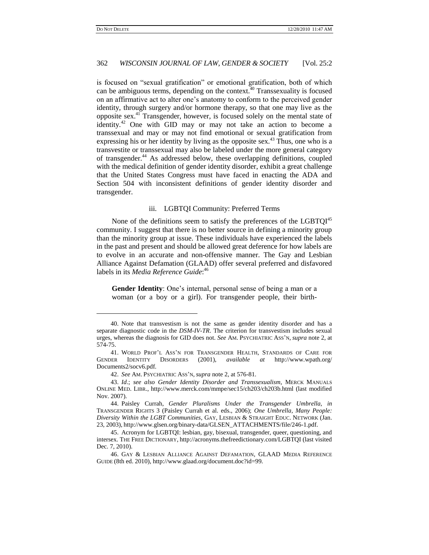### 362 *WISCONSIN JOURNAL OF LAW, GENDER & SOCIETY* [Vol. 25:2

is focused on "sexual gratification" or emotional gratification, both of which can be ambiguous terms, depending on the context.<sup>40</sup> Transsexuality is focused on an affirmative act to alter one"s anatomy to conform to the perceived gender identity, through surgery and/or hormone therapy, so that one may live as the opposite sex.<sup>41</sup> Transgender, however, is focused solely on the mental state of identity.<sup>42</sup> One with GID may or may not take an action to become a transsexual and may or may not find emotional or sexual gratification from expressing his or her identity by living as the opposite sex. $43$  Thus, one who is a transvestite or transsexual may also be labeled under the more general category of transgender.<sup>44</sup> As addressed below, these overlapping definitions, coupled with the medical definition of gender identity disorder, exhibit a great challenge that the United States Congress must have faced in enacting the ADA and Section 504 with inconsistent definitions of gender identity disorder and transgender.

#### iii. LGBTQI Community: Preferred Terms

None of the definitions seem to satisfy the preferences of the  $LGBTQI<sup>45</sup>$ community. I suggest that there is no better source in defining a minority group than the minority group at issue. These individuals have experienced the labels in the past and present and should be allowed great deference for how labels are to evolve in an accurate and non-offensive manner. The Gay and Lesbian Alliance Against Defamation (GLAAD) offer several preferred and disfavored labels in its *Media Reference Guide*: 46

Gender Identity: One's internal, personal sense of being a man or a woman (or a boy or a girl). For transgender people, their birth-

<sup>40.</sup> Note that transvestism is not the same as gender identity disorder and has a separate diagnostic code in the *DSM-IV-TR*. The criterion for transvestism includes sexual urges, whereas the diagnosis for GID does not. *See* AM. PSYCHIATRIC ASS"N, *supra* note 2, at 574-75.

<sup>41.</sup> WORLD PROF"L ASS"N FOR TRANSGENDER HEALTH, STANDARDS OF CARE FOR GENDER IDENTITY DISORDERS (2001), *available at* http://www.wpath.org/ Documents2/socv6.pdf.

<sup>42.</sup> *See* AM. PSYCHIATRIC ASS"N, *supra* note 2, at 576-81.

<sup>43.</sup> *Id*.; *see also Gender Identity Disorder and Transsexualism*, MERCK MANUALS ONLINE MED. LIBR., http://www.merck.com/mmpe/sec15/ch203/ch203b.html (last modified Nov. 2007).

<sup>44.</sup> Paisley Currah, *Gender Pluralisms Under the Transgender Umbrella*, *in*  TRANSGENDER RIGHTS 3 (Paisley Currah et al. eds., 2006); *One Umbrella, Many People: Diversity Within the LGBT Communities*, GAY, LESBIAN & STRAIGHT EDUC. NETWORK (Jan. 23, 2003), http://www.glsen.org/binary-data/GLSEN\_ATTACHMENTS/file/246-1.pdf.

<sup>45.</sup> Acronym for LGBTQI: lesbian, gay, bisexual, transgender, queer, questioning, and intersex. THE FREE DICTIONARY, http://acronyms.thefreedictionary.com/LGBTQI (last visited Dec. 7, 2010).

<sup>46.</sup> GAY & LESBIAN ALLIANCE AGAINST DEFAMATION, GLAAD MEDIA REFERENCE GUIDE (8th ed. 2010), http://www.glaad.org/document.doc?id=99.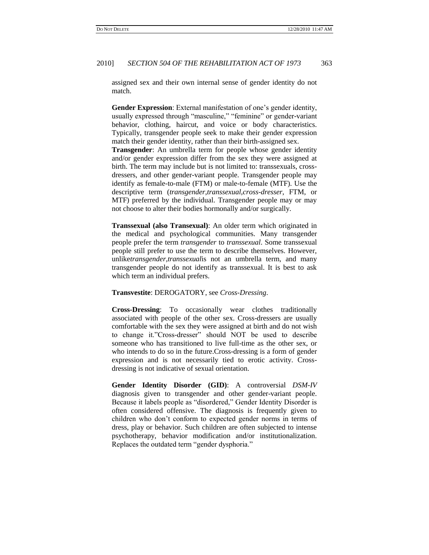assigned sex and their own internal sense of gender identity do not match.

Gender Expression: External manifestation of one's gender identity, usually expressed through "masculine," "feminine" or gender-variant behavior, clothing, haircut, and voice or body characteristics. Typically, transgender people seek to make their gender expression match their gender identity, rather than their birth-assigned sex. **Transgender**: An umbrella term for people whose gender identity and/or gender expression differ from the sex they were assigned at birth. The term may include but is not limited to: transsexuals, crossdressers, and other gender-variant people. Transgender people may identify as female-to-male (FTM) or male-to-female (MTF). Use the descriptive term (*transgender*,*transsexual*,*cross-dresser*, FTM, or MTF) preferred by the individual. Transgender people may or may not choose to alter their bodies hormonally and/or surgically.

**Transsexual (also Transexual)**: An older term which originated in the medical and psychological communities. Many transgender people prefer the term *transgender* to *transsexual*. Some transsexual people still prefer to use the term to describe themselves. However, unlike*transgender*,*transsexual*is not an umbrella term, and many transgender people do not identify as transsexual. It is best to ask which term an individual prefers.

#### **Transvestite**: DEROGATORY, see *Cross-Dressing*.

**Cross-Dressing**: To occasionally wear clothes traditionally associated with people of the other sex. Cross-dressers are usually comfortable with the sex they were assigned at birth and do not wish to change it."Cross-dresser" should NOT be used to describe someone who has transitioned to live full-time as the other sex, or who intends to do so in the future.Cross-dressing is a form of gender expression and is not necessarily tied to erotic activity. Crossdressing is not indicative of sexual orientation.

**Gender Identity Disorder (GID)**: A controversial *DSM-IV* diagnosis given to transgender and other gender-variant people. Because it labels people as "disordered," Gender Identity Disorder is often considered offensive. The diagnosis is frequently given to children who don"t conform to expected gender norms in terms of dress, play or behavior. Such children are often subjected to intense psychotherapy, behavior modification and/or institutionalization. Replaces the outdated term "gender dysphoria."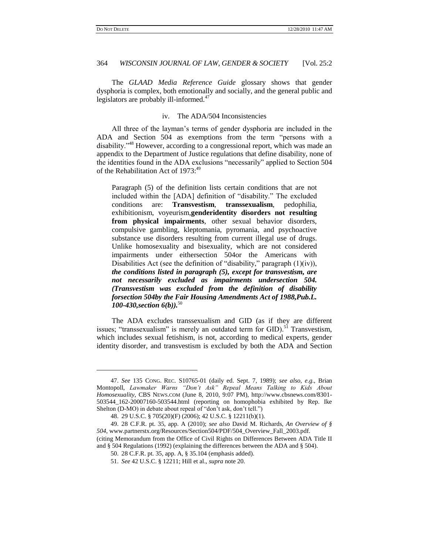#### 364 *WISCONSIN JOURNAL OF LAW, GENDER & SOCIETY* [Vol. 25:2

The *GLAAD Media Reference Guide* glossary shows that gender dysphoria is complex, both emotionally and socially, and the general public and legislators are probably ill-informed.<sup>47</sup>

#### iv. The ADA/504 Inconsistencies

All three of the layman"s terms of gender dysphoria are included in the ADA and Section 504 as exemptions from the term "persons with a disability."<sup>48</sup> However, according to a congressional report, which was made an appendix to the Department of Justice regulations that define disability, none of the identities found in the ADA exclusions "necessarily" applied to Section 504 of the Rehabilitation Act of 1973:<sup>49</sup>

Paragraph (5) of the definition lists certain conditions that are not included within the [ADA] definition of "disability." The excluded conditions are: **Transvestism**, **transsexualism**, pedophilia, exhibitionism, voyeurism,**genderidentity disorders not resulting from physical impairments**, other sexual behavior disorders, compulsive gambling, kleptomania, pyromania, and psychoactive substance use disorders resulting from current illegal use of drugs. Unlike homosexuality and bisexuality, which are not considered impairments under eithersection 504or the Americans with Disabilities Act (see the definition of "disability," paragraph (1)(iv)), *the conditions listed in paragraph (5), except for transvestism, are not necessarily excluded as impairments undersection 504. (Transvestism was excluded from the definition of disability forsection 504by the Fair Housing Amendments Act of 1988,Pub.L. 100-430,section 6(b)).*<sup>50</sup>

The ADA excludes transsexualism and GID (as if they are different issues; "transsexualism" is merely an outdated term for GID).<sup>51</sup> Transvestism, which includes sexual fetishism, is not, according to medical experts, gender identity disorder, and transvestism is excluded by both the ADA and Section

<sup>47.</sup> *See* 135 CONG. REC. S10765-01 (daily ed. Sept. 7, 1989); *see also, e*.*g*., Brian Montopoll, *Lawmaker Warns "Don't Ask" Repeal Means Talking to Kids About Homosexuality*, CBS NEWS.COM (June 8, 2010, 9:07 PM), http://www.cbsnews.com/8301- 503544\_162-20007160-503544.html (reporting on homophobia exhibited by Rep. Ike Shelton (D-MO) in debate about repeal of "don't ask, don't tell.")

<sup>48.</sup> 29 U.S.C. § 705(20)(F) (2006); 42 U.S.C. § 12211(b)(1).

<sup>49.</sup> 28 C.F.R. pt. 35, app. A (2010); *see also* David M. Richards, *An Overview of § 504*, www.partnerstx.org/Resources/Section504/PDF/504\_Overview\_Fall\_2003.pdf. (citing Memorandum from the Office of Civil Rights on Differences Between ADA Title II

and § 504 Regulations (1992) (explaining the differences between the ADA and § 504).

<sup>50.</sup> 28 C.F.R. pt. 35, app. A, § 35.104 (emphasis added).

<sup>51.</sup> *See* 42 U.S.C. § 12211; Hill et al., *supra* note 20.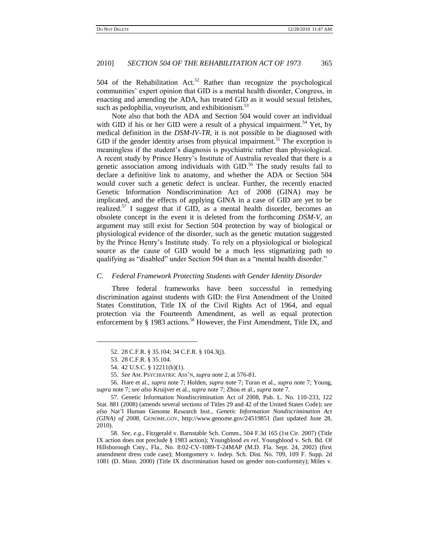504 of the Rehabilitation Act.<sup>52</sup> Rather than recognize the psychological communities" expert opinion that GID is a mental health disorder, Congress, in enacting and amending the ADA, has treated GID as it would sexual fetishes, such as pedophilia, voyeurism, and exhibitionism.<sup>53</sup>

Note also that both the ADA and Section 504 would cover an individual with GID if his or her GID were a result of a physical impairment.<sup>54</sup> Yet, by medical definition in the *DSM-IV-TR*, it is not possible to be diagnosed with GID if the gender identity arises from physical impairment.<sup>55</sup> The exception is meaningless if the student's diagnosis is psychiatric rather than physiological. A recent study by Prince Henry"s Institute of Australia revealed that there is a genetic association among individuals with GID.<sup>56</sup> The study results fail to declare a definitive link to anatomy, and whether the ADA or Section 504 would cover such a genetic defect is unclear. Further, the recently enacted Genetic Information Nondiscrimination Act of 2008 (GINA) may be implicated, and the effects of applying GINA in a case of GID are yet to be realized.<sup>57</sup> I suggest that if GID, as a mental health disorder, becomes an obsolete concept in the event it is deleted from the forthcoming *DSM-V*, an argument may still exist for Section 504 protection by way of biological or physiological evidence of the disorder, such as the genetic mutation suggested by the Prince Henry"s Institute study. To rely on a physiological or biological source as the cause of GID would be a much less stigmatizing path to qualifying as "disabled" under Section 504 than as a "mental health disorder."

#### *C. Federal Framework Protecting Students with Gender Identity Disorder*

Three federal frameworks have been successful in remedying discrimination against students with GID: the First Amendment of the United States Constitution, Title IX of the Civil Rights Act of 1964, and equal protection via the Fourteenth Amendment, as well as equal protection enforcement by § 1983 actions.<sup>58</sup> However, the First Amendment, Title IX, and

l

56. Hare et al., *supra* note 7; Holden, *supra* note 7; Turan et al., *supra* note 7; Young, *supra* note 7; *see also* Kruijver et al., *supra* note 7; Zhou et al., *supra* note 7.

<sup>52.</sup> 28 C.F.R. § 35.104; 34 C.F.R. § 104.3(j).

<sup>53.</sup> 28 C.F.R. § 35.104.

<sup>54.</sup> 42 U.S.C. § 12211(b)(1).

<sup>55.</sup> *See* AM. PSYCHIATRIC ASS"N, *supra* note 2, at 576-81.

<sup>57.</sup> Genetic Information Nondiscrimination Act of 2008, Pub. L. No. 110-233, 122 Stat. 881 (2008) (amends several sections of Titles 29 and 42 of the United States Code); *see also* Nat"l Human Genome Research Inst., *Genetic Information Nondiscrimination Act (GINA) of 2008*, GENOME.GOV, http://www.genome.gov/24519851 (last updated June 28, 2010).

<sup>58.</sup> *See, e*.*g*., Fitzgerald v. Barnstable Sch. Comm., 504 F.3d 165 (1st Cir. 2007) (Title IX action does not preclude § 1983 action); Youngblood *ex rel*. Youngblood v. Sch. Bd. Of Hillsborough Cnty., Fla., No. 8:02-CV-1089-T-24MAP (M.D. Fla. Sept. 24, 2002) (first amendment dress code case); Montgomery v. Indep. Sch. Dist. No. 709, 109 F. Supp. 2d 1081 (D. Minn. 2000) (Title IX discrimination based on gender non-conformity); Miles v.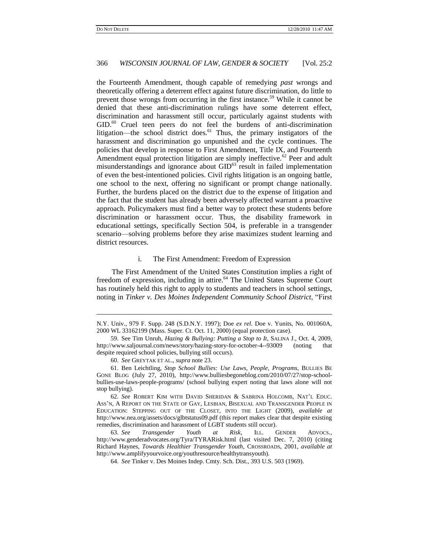l

#### 366 *WISCONSIN JOURNAL OF LAW, GENDER & SOCIETY* [Vol. 25:2

the Fourteenth Amendment, though capable of remedying *past* wrongs and theoretically offering a deterrent effect against future discrimination, do little to prevent those wrongs from occurring in the first instance.<sup>59</sup> While it cannot be denied that these anti-discrimination rulings have some deterrent effect, discrimination and harassment still occur, particularly against students with  $GID<sup>60</sup>$  Cruel teen peers do not feel the burdens of anti-discrimination litigation—the school district does. $61$  Thus, the primary instigators of the harassment and discrimination go unpunished and the cycle continues. The policies that develop in response to First Amendment, Title IX, and Fourteenth Amendment equal protection litigation are simply ineffective.<sup>62</sup> Peer and adult misunderstandings and ignorance about  $GID<sup>63</sup>$  result in failed implementation of even the best-intentioned policies. Civil rights litigation is an ongoing battle, one school to the next, offering no significant or prompt change nationally. Further, the burdens placed on the district due to the expense of litigation and the fact that the student has already been adversely affected warrant a proactive approach. Policymakers must find a better way to protect these students before discrimination or harassment occur. Thus, the disability framework in educational settings, specifically Section 504, is preferable in a transgender scenario—solving problems before they arise maximizes student learning and district resources.

## i. The First Amendment: Freedom of Expression

The First Amendment of the United States Constitution implies a right of freedom of expression, including in attire.<sup>64</sup> The United States Supreme Court has routinely held this right to apply to students and teachers in school settings, noting in *Tinker v. Des Moines Independent Community School District*, "First

N.Y. Univ., 979 F. Supp. 248 (S.D.N.Y. 1997); Doe *ex rel*. Doe v. Yunits, No. 001060A, 2000 WL 33162199 (Mass. Super. Ct. Oct. 11, 2000) (equal protection case).

<sup>59.</sup> See Tim Unruh, *Hazing & Bullying: Putting a Stop to It*, SALINA J., Oct. 4, 2009, http://www.saljournal.com/news/story/hazing-story-for-october-4--93009 (noting that despite required school policies, bullying still occurs).

<sup>60.</sup> *See* GREYTAK ET AL., *supra* note 23.

<sup>61.</sup> Ben Leichtling, *Stop School Bullies: Use Laws, People, Programs*, BULLIES BE GONE BLOG (July 27, 2010), http://www.bulliesbegoneblog.com/2010/07/27/stop-schoolbullies-use-laws-people-programs/ (school bullying expert noting that laws alone will not stop bullying).

<sup>62.</sup> *See* ROBERT KIM WITH DAVID SHERIDAN & SABRINA HOLCOMB, NAT"L EDUC. ASS"N, A REPORT ON THE STATE OF GAY, LESBIAN, BISEXUAL AND TRANSGENDER PEOPLE IN EDUCATION: STEPPING OUT OF THE CLOSET, INTO THE LIGHT (2009), *available at*  http://www.nea.org/assets/docs/glbtstatus09.pdf (this report makes clear that despite existing remedies, discrimination and harassment of LGBT students still occur).

<sup>63.</sup> *See Transgender Youth at Risk*, ILL. GENDER ADVOCS., http://www.genderadvocates.org/Tyra/TYRARisk.html (last visited Dec. 7, 2010) (citing Richard Haynes, *Towards Healthier Transgender Youth*, CROSSROADS, 2001, *available at* http://www.amplifyyourvoice.org/youthresource/healthytransyouth).

<sup>64.</sup> *See* Tinker v. Des Moines Indep. Cmty. Sch. Dist., 393 U.S. 503 (1969).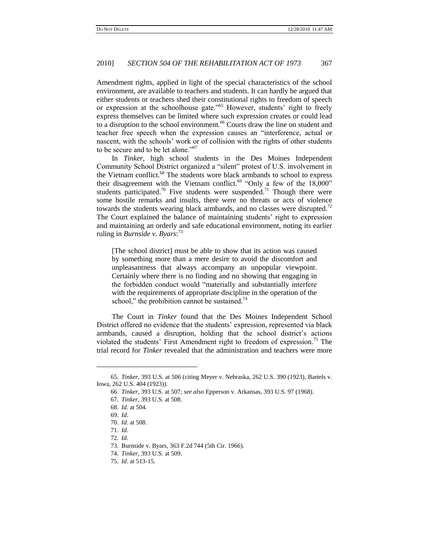Amendment rights, applied in light of the special characteristics of the school environment, are available to teachers and students. It can hardly be argued that either students or teachers shed their constitutional rights to freedom of speech or expression at the schoolhouse gate."<sup>65</sup> However, students' right to freely express themselves can be limited where such expression creates or could lead to a disruption to the school environment.<sup>66</sup> Courts draw the line on student and teacher free speech when the expression causes an "interference, actual or nascent, with the schools" work or of collision with the rights of other students to be secure and to be let alone."<sup>67</sup>

In *Tinker*, high school students in the Des Moines Independent Community School District organized a "silent" protest of U.S. involvement in the Vietnam conflict.<sup>68</sup> The students wore black armbands to school to express their disagreement with the Vietnam conflict.<sup>69</sup> "Only a few of the  $18,000$ " students participated.<sup>70</sup> Five students were suspended.<sup>71</sup> Though there were some hostile remarks and insults, there were no threats or acts of violence towards the students wearing black armbands, and no classes were disrupted.<sup>72</sup> The Court explained the balance of maintaining students' right to expression and maintaining an orderly and safe educational environment, noting its earlier ruling in *Burnside v. Byars*: 73

[The school district] must be able to show that its action was caused by something more than a mere desire to avoid the discomfort and unpleasantness that always accompany an unpopular viewpoint. Certainly where there is no finding and no showing that engaging in the forbidden conduct would "materially and substantially interfere with the requirements of appropriate discipline in the operation of the school," the prohibition cannot be sustained.<sup>74</sup>

The Court in *Tinker* found that the Des Moines Independent School District offered no evidence that the students" expression, represented via black armbands, caused a disruption, holding that the school district's actions violated the students' First Amendment right to freedom of expression.<sup>75</sup> The trial record for *Tinker* revealed that the administration and teachers were more

l

<sup>65.</sup> *Tinker*, 393 U.S. at 506 (citing Meyer v. Nebraska, 262 U.S. 390 (1923), Bartels v. Iowa, 262 U.S. 404 (1923)).

<sup>66.</sup> *Tinker*, 393 U.S. at 507; *see also* Epperson v. Arkansas, 393 U.S. 97 (1968).

<sup>67.</sup> *Tinker*, 393 U.S. at 508.

<sup>68.</sup> *Id*. at 504.

<sup>69.</sup> *Id*.

<sup>70.</sup> *Id*. at 508.

<sup>71.</sup> *Id*.

<sup>72.</sup> *Id*.

<sup>73.</sup> Burnside v. Byars, 363 F.2d 744 (5th Cir. 1966).

<sup>74.</sup> *Tinker*, 393 U.S. at 509.

<sup>75.</sup> *Id*. at 513-15.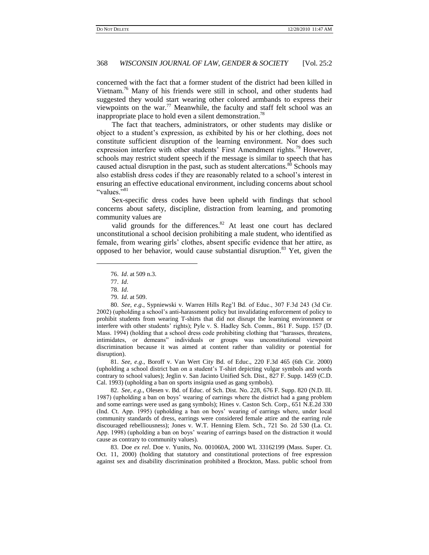concerned with the fact that a former student of the district had been killed in Vietnam.<sup>76</sup> Many of his friends were still in school, and other students had suggested they would start wearing other colored armbands to express their viewpoints on the war.<sup>77</sup> Meanwhile, the faculty and staff felt school was an inappropriate place to hold even a silent demonstration.<sup>78</sup>

The fact that teachers, administrators, or other students may dislike or object to a student"s expression, as exhibited by his or her clothing, does not constitute sufficient disruption of the learning environment. Nor does such expression interfere with other students' First Amendment rights.<sup>79</sup> However, schools may restrict student speech if the message is similar to speech that has caused actual disruption in the past, such as student altercations.<sup>80</sup> Schools may also establish dress codes if they are reasonably related to a school"s interest in ensuring an effective educational environment, including concerns about school "values."<sup>81</sup>

Sex-specific dress codes have been upheld with findings that school concerns about safety, discipline, distraction from learning, and promoting community values are

valid grounds for the differences. $82$  At least one court has declared unconstitutional a school decision prohibiting a male student, who identified as female, from wearing girls' clothes, absent specific evidence that her attire, as opposed to her behavior, would cause substantial disruption.<sup>83</sup> Yet, given the

76. *Id*. at 509 n.3.

77. *Id*.

l

78. *Id*.

81. *See, e*.*g*., Boroff v. Van Wert City Bd. of Educ., 220 F.3d 465 (6th Cir. 2000) (upholding a school district ban on a student"s T-shirt depicting vulgar symbols and words contrary to school values); Jeglin v. San Jacinto Unified Sch. Dist., 827 F. Supp. 1459 (C.D. Cal. 1993) (upholding a ban on sports insignia used as gang symbols).

82. *See, e*.*g*., Olesen v. Bd. of Educ. of Sch. Dist. No. 228, 676 F. Supp. 820 (N.D. Ill. 1987) (upholding a ban on boys" wearing of earrings where the district had a gang problem and some earrings were used as gang symbols); Hines v. Caston Sch. Corp., 651 N.E.2d 330 (Ind. Ct. App. 1995) (upholding a ban on boys" wearing of earrings where, under local community standards of dress, earrings were considered female attire and the earring rule discouraged rebelliousness); Jones v. W.T. Henning Elem. Sch., 721 So. 2d 530 (La. Ct. App. 1998) (upholding a ban on boys" wearing of earrings based on the distraction it would cause as contrary to community values).

83. Doe *ex rel*. Doe v. Yunits, No. 001060A, 2000 WL 33162199 (Mass. Super. Ct. Oct. 11, 2000) (holding that statutory and constitutional protections of free expression against sex and disability discrimination prohibited a Brockton, Mass. public school from

<sup>79.</sup> *Id*. at 509.

<sup>80.</sup> *See, e*.*g*., Sypniewski v. Warren Hills Reg"l Bd. of Educ., 307 F.3d 243 (3d Cir. 2002) (upholding a school"s anti-harassment policy but invalidating enforcement of policy to prohibit students from wearing T-shirts that did not disrupt the learning environment or interfere with other students" rights); Pyle v. S. Hadley Sch. Comm., 861 F. Supp. 157 (D. Mass. 1994) (holding that a school dress code prohibiting clothing that "harasses, threatens, intimidates, or demeans" individuals or groups was unconstitutional viewpoint discrimination because it was aimed at content rather than validity or potential for disruption).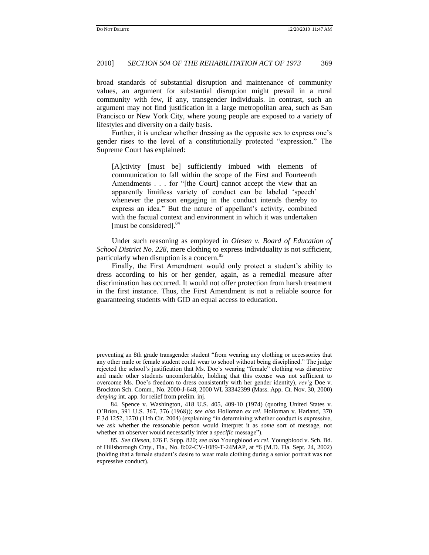## 2010] *SECTION 504 OF THE REHABILITATION ACT OF 1973* 369

broad standards of substantial disruption and maintenance of community values, an argument for substantial disruption might prevail in a rural community with few, if any, transgender individuals. In contrast, such an argument may not find justification in a large metropolitan area, such as San Francisco or New York City, where young people are exposed to a variety of lifestyles and diversity on a daily basis.

Further, it is unclear whether dressing as the opposite sex to express one's gender rises to the level of a constitutionally protected "expression." The Supreme Court has explained:

[A]ctivity [must be] sufficiently imbued with elements of communication to fall within the scope of the First and Fourteenth Amendments . . . for "[the Court] cannot accept the view that an apparently limitless variety of conduct can be labeled "speech" whenever the person engaging in the conduct intends thereby to express an idea." But the nature of appellant's activity, combined with the factual context and environment in which it was undertaken [must be considered].<sup>84</sup>

Under such reasoning as employed in *Olesen v. Board of Education of School District No. 228*, mere clothing to express individuality is not sufficient, particularly when disruption is a concern.<sup>85</sup>

Finally, the First Amendment would only protect a student's ability to dress according to his or her gender, again, as a remedial measure after discrimination has occurred. It would not offer protection from harsh treatment in the first instance. Thus, the First Amendment is not a reliable source for guaranteeing students with GID an equal access to education.

preventing an 8th grade transgender student "from wearing any clothing or accessories that any other male or female student could wear to school without being disciplined." The judge rejected the school"s justification that Ms. Doe"s wearing "female" clothing was disruptive and made other students uncomfortable, holding that this excuse was not sufficient to overcome Ms. Doe"s freedom to dress consistently with her gender identity), *rev'g* Doe v. Brockton Sch. Comm.*,* No. 2000-J-648, 2000 WL 33342399 (Mass. App. Ct. Nov. 30, 2000) *denying* int. app. for relief from prelim. inj.

<sup>84.</sup> Spence v. Washington, 418 U.S. 405, 409-10 (1974) (quoting United States v. O"Brien, 391 U.S. 367, 376 (1968)); *see also* Holloman *ex rel*. Holloman v. Harland, 370 F.3d 1252, 1270 (11th Cir. 2004) (explaining "in determining whether conduct is expressive, we ask whether the reasonable person would interpret it as *some* sort of message, not whether an observer would necessarily infer a *specific* message").

<sup>85.</sup> *See Olesen,* 676 F. Supp. 820; *see also* Youngblood *ex rel*. Youngblood v. Sch. Bd. of Hillsborough Cnty., Fla., No. 8:02-CV-1089-T-24MAP, at \*6 (M.D. Fla. Sept. 24, 2002) (holding that a female student"s desire to wear male clothing during a senior portrait was not expressive conduct).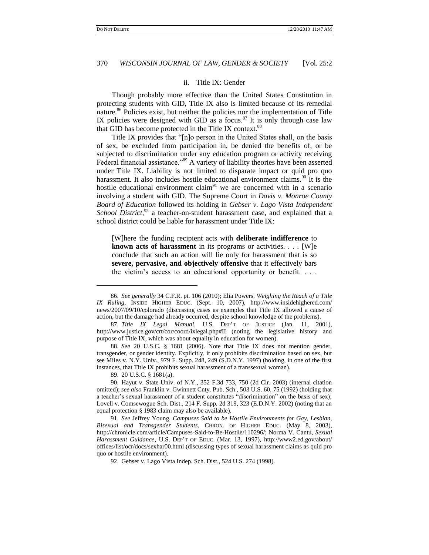#### ii. Title IX: Gender

Though probably more effective than the United States Constitution in protecting students with GID, Title IX also is limited because of its remedial nature.<sup>86</sup> Policies exist, but neither the policies nor the implementation of Title IX policies were designed with GID as a focus.<sup>87</sup> It is only through case law that GID has become protected in the Title IX context.<sup>88</sup>

Title IX provides that "[n]o person in the United States shall, on the basis of sex, be excluded from participation in, be denied the benefits of, or be subjected to discrimination under any education program or activity receiving Federal financial assistance."<sup>89</sup> A variety of liability theories have been asserted under Title IX. Liability is not limited to disparate impact or quid pro quo harassment. It also includes hostile educational environment claims.<sup>90</sup> It is the hostile educational environment claim<sup>91</sup> we are concerned with in a scenario involving a student with GID. The Supreme Court in *Davis v. Monroe County Board of Education* followed its holding in *Gebser v. Lago Vista Independent*  School District,<sup>92</sup> a teacher-on-student harassment case, and explained that a school district could be liable for harassment under Title IX:

[W]here the funding recipient acts with **deliberate indifference** to **known acts of harassment** in its programs or activities. . . . [W]e conclude that such an action will lie only for harassment that is so **severe, pervasive, and objectively offensive** that it effectively bars the victim"s access to an educational opportunity or benefit. . . .

89. 20 U.S.C. § 1681(a).

l

<sup>86.</sup> *See generally* 34 C.F.R. pt. 106 (2010); Elia Powers, *Weighing the Reach of a Title IX Ruling*, INSIDE HIGHER EDUC. (Sept. 10, 2007), http://www.insidehighered.com/ news/2007/09/10/colorado (discussing cases as examples that Title IX allowed a cause of action, but the damage had already occurred, despite school knowledge of the problems).

<sup>87.</sup> *Title IX Legal Manual*, U.S. DEP"T OF JUSTICE (Jan. 11, 2001), http://www.justice.gov/crt/cor/coord/ixlegal.php#II (noting the legislative history and purpose of Title IX, which was about equality in education for women).

<sup>88.</sup> *See* 20 U.S.C. § 1681 (2006). Note that Title IX does not mention gender, transgender, or gender identity. Explicitly, it only prohibits discrimination based on sex, but see Miles v. N.Y. Univ., 979 F. Supp. 248, 249 (S.D.N.Y. 1997) (holding, in one of the first instances, that Title IX prohibits sexual harassment of a transsexual woman).

<sup>90.</sup> Hayut v. State Univ. of N.Y., 352 F.3d 733, 750 (2d Cir. 2003) (internal citation omitted); *see also* Franklin v. Gwinnett Cnty. Pub. Sch., 503 U.S. 60, 75 (1992) (holding that a teacher"s sexual harassment of a student constitutes "discrimination" on the basis of sex); Lovell v. Comsewogue Sch. Dist., 214 F. Supp. 2d 319, 323 (E.D.N.Y. 2002) (noting that an equal protection § 1983 claim may also be available).

<sup>91.</sup> *See* Jeffrey Young, *Campuses Said to be Hostile Environments for Gay, Lesbian, Bisexual and Transgender Students*, CHRON. OF HIGHER EDUC. (May 8, 2003), http://chronicle.com/article/Campuses-Said-to-Be-Hostile/110296/; Norma V. Cantu, *Sexual Harassment Guidance*, U.S. DEP"T OF EDUC. (Mar. 13, 1997), http://www2.ed.gov/about/ offices/list/ocr/docs/sexhar00.html (discussing types of sexual harassment claims as quid pro quo or hostile environment).

<sup>92.</sup> Gebser v. Lago Vista Indep. Sch. Dist., 524 U.S. 274 (1998).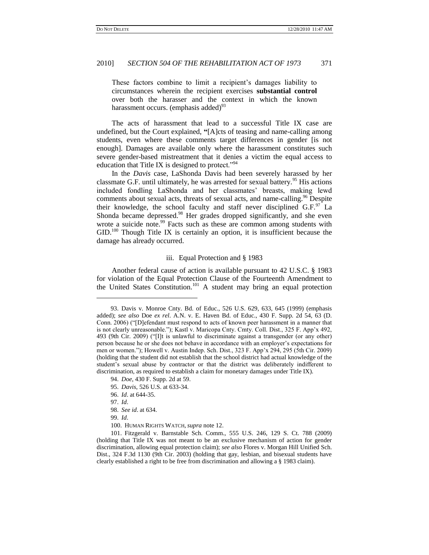These factors combine to limit a recipient's damages liability to circumstances wherein the recipient exercises **substantial control** over both the harasser and the context in which the known harassment occurs. (emphasis added) $^{93}$ 

The acts of harassment that lead to a successful Title IX case are undefined, but the Court explained, **"**[A]cts of teasing and name-calling among students, even where these comments target differences in gender [is not enough]. Damages are available only where the harassment constitutes such severe gender-based mistreatment that it denies a victim the equal access to education that Title IX is designed to protect."<sup>94</sup>

In the *Davis* case, LaShonda Davis had been severely harassed by her classmate G.F. until ultimately, he was arrested for sexual battery.<sup>95</sup> His actions included fondling LaShonda and her classmates' breasts, making lewd comments about sexual acts, threats of sexual acts, and name-calling.<sup>96</sup> Despite their knowledge, the school faculty and staff never disciplined  $G.F.^{97}$  La Shonda became depressed.<sup>98</sup> Her grades dropped significantly, and she even wrote a suicide note.<sup>99</sup> Facts such as these are common among students with GID.<sup>100</sup> Though Title IX is certainly an option, it is insufficient because the damage has already occurred.

## iii. Equal Protection and § 1983

Another federal cause of action is available pursuant to 42 U.S.C. § 1983 for violation of the Equal Protection Clause of the Fourteenth Amendment to the United States Constitution.<sup>101</sup> A student may bring an equal protection

l

<sup>93.</sup> Davis v. Monroe Cnty. Bd. of Educ., 526 U.S. 629, 633, 645 (1999) (emphasis added); *see also* Doe *ex rel*. A.N. v. E. Haven Bd. of Educ., 430 F. Supp. 2d 54, 63 (D. Conn. 2006) ("[D]efendant must respond to acts of known peer harassment in a manner that is not clearly unreasonable."); Kastl v. Maricopa Cnty. Cmty. Coll. Dist., 325 F. App'x 492, 493 (9th Cir. 2009) ("[I]t is unlawful to discriminate against a transgender (or any other) person because he or she does not behave in accordance with an employer"s expectations for men or women."); Howell v. Austin Indep. Sch. Dist., 323 F. App"x 294, 295 (5th Cir. 2009) (holding that the student did not establish that the school district had actual knowledge of the student"s sexual abuse by contractor or that the district was deliberately indifferent to discrimination, as required to establish a claim for monetary damages under Title IX).

<sup>94.</sup> *Doe*, 430 F. Supp. 2d at 59.

<sup>95.</sup> *Davis*, 526 U.S. at 633-34.

<sup>96.</sup> *Id*. at 644-35.

<sup>97.</sup> *Id*.

<sup>98.</sup> *See id*. at 634.

<sup>99.</sup> *Id*.

<sup>100.</sup> HUMAN RIGHTS WATCH, *supra* note 12.

<sup>101.</sup> Fitzgerald v. Barnstable Sch. Comm., 555 U.S. 246, 129 S. Ct. 788 (2009) (holding that Title IX was not meant to be an exclusive mechanism of action for gender discrimination, allowing equal protection claim); *see also* Flores v. Morgan Hill Unified Sch. Dist., 324 F.3d 1130 (9th Cir. 2003) (holding that gay, lesbian, and bisexual students have clearly established a right to be free from discrimination and allowing a § 1983 claim).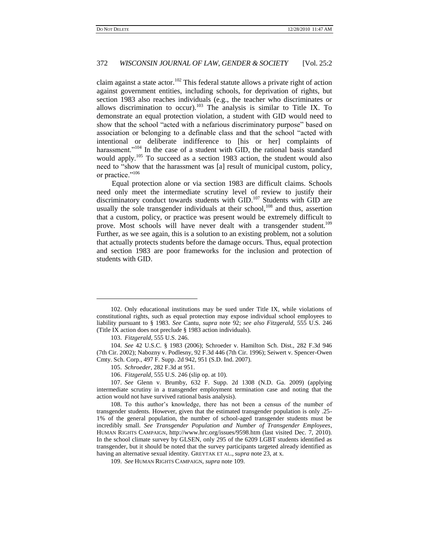claim against a state actor.<sup>102</sup> This federal statute allows a private right of action against government entities, including schools, for deprivation of rights, but section 1983 also reaches individuals (e.g., the teacher who discriminates or allows discrimination to occur).<sup>103</sup> The analysis is similar to Title IX. To demonstrate an equal protection violation, a student with GID would need to show that the school "acted with a nefarious discriminatory purpose" based on association or belonging to a definable class and that the school "acted with intentional or deliberate indifference to [his or her] complaints of harassment."<sup>104</sup> In the case of a student with GID, the rational basis standard would apply.<sup>105</sup> To succeed as a section 1983 action, the student would also need to "show that the harassment was [a] result of municipal custom, policy, or practice."<sup>106</sup>

Equal protection alone or via section 1983 are difficult claims. Schools need only meet the intermediate scrutiny level of review to justify their discriminatory conduct towards students with  $GID$ .<sup>107</sup> Students with  $GID$  are usually the sole transgender individuals at their school, $^{108}$  and thus, assertion that a custom, policy, or practice was present would be extremely difficult to prove. Most schools will have never dealt with a transgender student.<sup>109</sup> Further, as we see again, this is a solution to an existing problem, not a solution that actually protects students before the damage occurs. Thus, equal protection and section 1983 are poor frameworks for the inclusion and protection of students with GID.

 $\overline{a}$ 

<sup>102.</sup> Only educational institutions may be sued under Title IX, while violations of constitutional rights, such as equal protection may expose individual school employees to liability pursuant to § 1983. *See* Cantu, *supra* note 92; *see also Fitzgerald*, 555 U.S. 246 (Title IX action does not preclude § 1983 action individuals).

<sup>103.</sup> *Fitzgerald*, 555 U.S. 246.

<sup>104.</sup> *See* 42 U.S.C. § 1983 (2006); Schroeder v. Hamilton Sch. Dist., 282 F.3d 946 (7th Cir. 2002); Nabozny v. Podlesny, 92 F.3d 446 (7th Cir. 1996); Seiwert v. Spencer-Owen Cmty. Sch. Corp., 497 F. Supp. 2d 942, 951 (S.D. Ind. 2007).

<sup>105.</sup> *Schroeder*, 282 F.3d at 951.

<sup>106.</sup> *Fitzgerald*, 555 U.S. 246 (slip op. at 10).

<sup>107.</sup> *See* Glenn v. Brumby, 632 F. Supp. 2d 1308 (N.D. Ga. 2009) (applying intermediate scrutiny in a transgender employment termination case and noting that the action would not have survived rational basis analysis).

<sup>108.</sup> To this author"s knowledge, there has not been a census of the number of transgender students. However, given that the estimated transgender population is only .25- 1% of the general population, the number of school-aged transgender students must be incredibly small. *See Transgender Population and Number of Transgender Employees*, HUMAN RIGHTS CAMPAIGN, http://www.hrc.org/issues/9598.htm (last visited Dec. 7, 2010). In the school climate survey by GLSEN, only 295 of the 6209 LGBT students identified as transgender, but it should be noted that the survey participants targeted already identified as having an alternative sexual identity. GREYTAK ET AL., *supra* note 23, at x.

<sup>109.</sup> *See* HUMAN RIGHTS CAMPAIGN, *supra* note 109.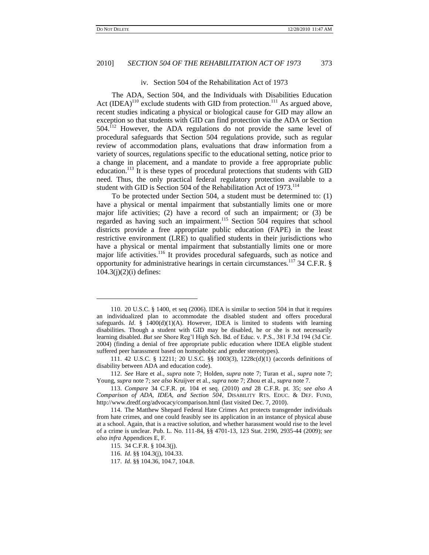## 2010] *SECTION 504 OF THE REHABILITATION ACT OF 1973* 373

#### iv. Section 504 of the Rehabilitation Act of 1973

The ADA, Section 504, and the Individuals with Disabilities Education Act  $(IDEA)^{110}$  exclude students with GID from protection.<sup>111</sup> As argued above, recent studies indicating a physical or biological cause for GID may allow an exception so that students with GID can find protection via the ADA or Section 504.<sup>112</sup> However, the ADA regulations do not provide the same level of procedural safeguards that Section 504 regulations provide, such as regular review of accommodation plans, evaluations that draw information from a variety of sources, regulations specific to the educational setting, notice prior to a change in placement, and a mandate to provide a free appropriate public education.<sup>113</sup> It is these types of procedural protections that students with GID need. Thus, the only practical federal regulatory protection available to a student with GID is Section 504 of the Rehabilitation Act of 1973.<sup>114</sup>

To be protected under Section 504, a student must be determined to: (1) have a physical or mental impairment that substantially limits one or more major life activities; (2) have a record of such an impairment; or (3) be regarded as having such an impairment.<sup>115</sup> Section 504 requires that school districts provide a free appropriate public education (FAPE) in the least restrictive environment (LRE) to qualified students in their jurisdictions who have a physical or mental impairment that substantially limits one or more major life activities.<sup>116</sup> It provides procedural safeguards, such as notice and opportunity for administrative hearings in certain circumstances.<sup>117</sup> 34 C.F.R.  $\S$  $104.3(j)(2)(i)$  defines:

<sup>110.</sup> 20 U.S.C. § 1400, et seq (2006). IDEA is similar to section 504 in that it requires an individualized plan to accommodate the disabled student and offers procedural safeguards. *Id.* § 1400 $(d)(1)(A)$ . However, IDEA is limited to students with learning disabilities. Though a student with GID may be disabled, he or she is not necessarily learning disabled. *But see* Shore Reg"l High Sch. Bd. of Educ. v. P.S., 381 F.3d 194 (3d Cir. 2004) (finding a denial of free appropriate public education where IDEA eligible student suffered peer harassment based on homophobic and gender stereotypes).

<sup>111.</sup> 42 U.S.C. § 12211; 20 U.S.C. §§ 1003(3), 1228c(d)(1) (accords definitions of disability between ADA and education code).

<sup>112.</sup> *See* Hare et al., *supra* note 7; Holden, *supra* note 7; Turan et al., *supra* note 7; Young, *supra* note 7; *see also* Kruijver et al., *supra* note 7; Zhou et al., *supra* note 7.

<sup>113.</sup> *Compare* 34 C.F.R. pt. 104 et seq. (2010) *and* 28 C.F.R. pt. 35; *see also A Comparison of ADA, IDEA, and Section 504*, DISABILITY RTS. EDUC. & DEF. FUND, http://www.dredf.org/advocacy/comparison.html (last visited Dec. 7, 2010).

<sup>114.</sup> The Matthew Shepard Federal Hate Crimes Act protects transgender individuals from hate crimes, and one could feasibly see its application in an instance of physical abuse at a school. Again, that is a reactive solution, and whether harassment would rise to the level of a crime is unclear. Pub. L. No. 111-84, §§ 4701-13, 123 Stat. 2190, 2935-44 (2009); *see also infra* Appendices E, F.

<sup>115.</sup> 34 C.F.R. § 104.3(j).

<sup>116.</sup> *Id*. §§ 104.3(j), 104.33.

<sup>117.</sup> *Id*. §§ 104.36, 104.7, 104.8.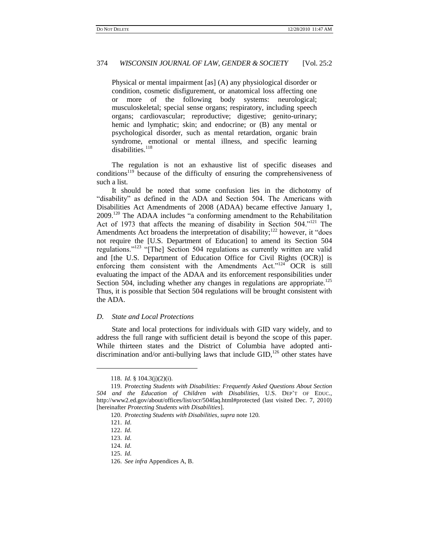Physical or mental impairment [as] (A) any physiological disorder or condition, cosmetic disfigurement, or anatomical loss affecting one or more of the following body systems: neurological; musculoskeletal; special sense organs; respiratory, including speech organs; cardiovascular; reproductive; digestive; genito-urinary; hemic and lymphatic; skin; and endocrine; or  $(B)$  any mental or psychological disorder, such as mental retardation, organic brain syndrome, emotional or mental illness, and specific learning disabilities.<sup>118</sup>

The regulation is not an exhaustive list of specific diseases and conditions<sup>119</sup> because of the difficulty of ensuring the comprehensiveness of such a list.

It should be noted that some confusion lies in the dichotomy of "disability" as defined in the ADA and Section 504. The Americans with Disabilities Act Amendments of 2008 (ADAA) became effective January 1, 2009.<sup>120</sup> The ADAA includes "a conforming amendment to the Rehabilitation Act of 1973 that affects the meaning of disability in Section 504."<sup>121</sup> The Amendments Act broadens the interpretation of disability; $^{122}$  however, it "does not require the [U.S. Department of Education] to amend its Section 504 regulations."<sup>123</sup> "[The] Section 504 regulations as currently written are valid and [the U.S. Department of Education Office for Civil Rights (OCR)] is enforcing them consistent with the Amendments Act."<sup>124</sup> OCR is still evaluating the impact of the ADAA and its enforcement responsibilities under Section 504, including whether any changes in regulations are appropriate.<sup>125</sup> Thus, it is possible that Section 504 regulations will be brought consistent with the ADA.

## *D. State and Local Protections*

State and local protections for individuals with GID vary widely, and to address the full range with sufficient detail is beyond the scope of this paper. While thirteen states and the District of Columbia have adopted antidiscrimination and/or anti-bullying laws that include  $GID$ ,<sup>126</sup> other states have

 $\overline{a}$ 

<sup>118.</sup> *Id*. § 104.3(j)(2)(i).

<sup>119.</sup> *Protecting Students with Disabilities: Frequently Asked Questions About Section 504 and the Education of Children with Disabilities*, U.S. DEP"T OF EDUC., http://www2.ed.gov/about/offices/list/ocr/504faq.html#protected (last visited Dec. 7, 2010) [hereinafter *Protecting Students with Disabilities*].

<sup>120.</sup> *Protecting Students with Disabilities*, *supra* note 120.

<sup>121.</sup> *Id*.

<sup>122.</sup> *Id*.

<sup>123.</sup> *Id*.

<sup>124.</sup> *Id*.

<sup>125.</sup> *Id*.

<sup>126.</sup> *See infra* Appendices A, B.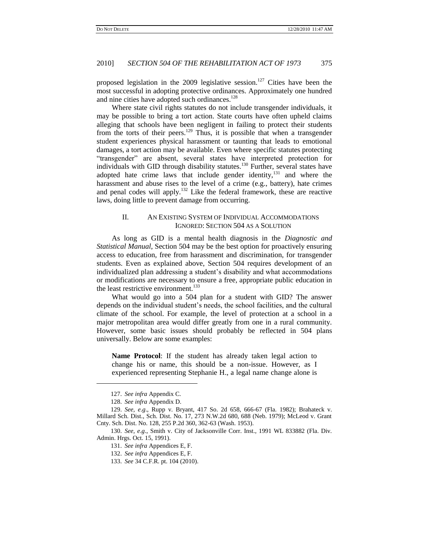proposed legislation in the 2009 legislative session.<sup>127</sup> Cities have been the most successful in adopting protective ordinances. Approximately one hundred and nine cities have adopted such ordinances.<sup>128</sup>

Where state civil rights statutes do not include transgender individuals, it may be possible to bring a tort action. State courts have often upheld claims alleging that schools have been negligent in failing to protect their students from the torts of their peers.<sup>129</sup> Thus, it is possible that when a transgender student experiences physical harassment or taunting that leads to emotional damages, a tort action may be available. Even where specific statutes protecting "transgender" are absent, several states have interpreted protection for individuals with GID through disability statutes.<sup>130</sup> Further, several states have adopted hate crime laws that include gender identity,<sup>131</sup> and where the harassment and abuse rises to the level of a crime (e.g., battery), hate crimes and penal codes will apply.<sup>132</sup> Like the federal framework, these are reactive laws, doing little to prevent damage from occurring.

## II. AN EXISTING SYSTEM OF INDIVIDUAL ACCOMMODATIONS IGNORED: SECTION 504 AS A SOLUTION

As long as GID is a mental health diagnosis in the *Diagnostic and Statistical Manual*, Section 504 may be the best option for proactively ensuring access to education, free from harassment and discrimination, for transgender students. Even as explained above, Section 504 requires development of an individualized plan addressing a student"s disability and what accommodations or modifications are necessary to ensure a free, appropriate public education in the least restrictive environment.<sup>133</sup>

What would go into a 504 plan for a student with GID? The answer depends on the individual student's needs, the school facilities, and the cultural climate of the school. For example, the level of protection at a school in a major metropolitan area would differ greatly from one in a rural community. However, some basic issues should probably be reflected in 504 plans universally. Below are some examples:

**Name Protocol**: If the student has already taken legal action to change his or name, this should be a non-issue. However, as I experienced representing Stephanie H., a legal name change alone is

l

<sup>127.</sup> *See infra* Appendix C.

<sup>128.</sup> *See infra* Appendix D.

<sup>129.</sup> *See, e*.*g*., Rupp v. Bryant, 417 So. 2d 658, 666-67 (Fla. 1982); Brahateck v. Millard Sch. Dist., Sch. Dist. No. 17, 273 N.W.2d 680, 688 (Neb. 1979); McLeod v. Grant Cnty. Sch. Dist. No. 128, 255 P.2d 360, 362-63 (Wash. 1953).

<sup>130.</sup> *See, e*.*g*., Smith v. City of Jacksonville Corr. Inst., 1991 WL 833882 (Fla. Div. Admin. Hrgs. Oct. 15, 1991).

<sup>131.</sup> *See infra* Appendices E, F.

<sup>132.</sup> *See infra* Appendices E, F.

<sup>133.</sup> *See* 34 C.F.R. pt. 104 (2010).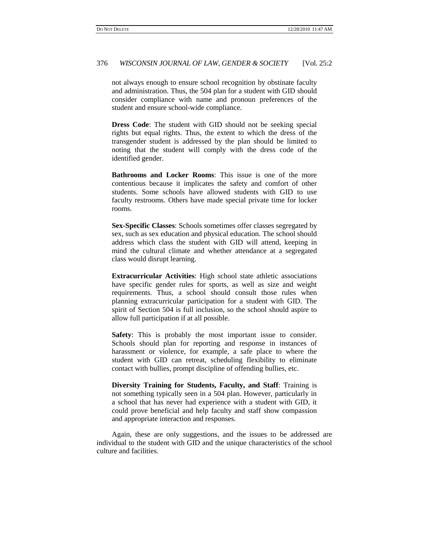not always enough to ensure school recognition by obstinate faculty and administration. Thus, the 504 plan for a student with GID should consider compliance with name and pronoun preferences of the student and ensure school-wide compliance.

**Dress Code**: The student with GID should not be seeking special rights but equal rights. Thus, the extent to which the dress of the transgender student is addressed by the plan should be limited to noting that the student will comply with the dress code of the identified gender.

**Bathrooms and Locker Rooms**: This issue is one of the more contentious because it implicates the safety and comfort of other students. Some schools have allowed students with GID to use faculty restrooms. Others have made special private time for locker rooms.

**Sex-Specific Classes**: Schools sometimes offer classes segregated by sex, such as sex education and physical education. The school should address which class the student with GID will attend, keeping in mind the cultural climate and whether attendance at a segregated class would disrupt learning.

**Extracurricular Activities**: High school state athletic associations have specific gender rules for sports, as well as size and weight requirements. Thus, a school should consult those rules when planning extracurricular participation for a student with GID. The spirit of Section 504 is full inclusion, so the school should aspire to allow full participation if at all possible.

**Safety**: This is probably the most important issue to consider. Schools should plan for reporting and response in instances of harassment or violence, for example, a safe place to where the student with GID can retreat, scheduling flexibility to eliminate contact with bullies, prompt discipline of offending bullies, etc.

**Diversity Training for Students, Faculty, and Staff**: Training is not something typically seen in a 504 plan. However, particularly in a school that has never had experience with a student with GID, it could prove beneficial and help faculty and staff show compassion and appropriate interaction and responses.

Again, these are only suggestions, and the issues to be addressed are individual to the student with GID and the unique characteristics of the school culture and facilities.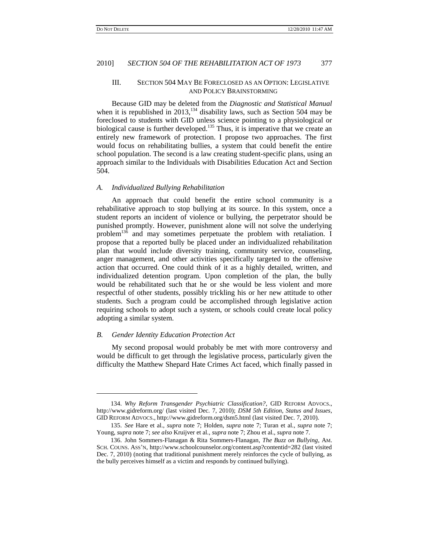#### III. SECTION 504 MAY BE FORECLOSED AS AN OPTION: LEGISLATIVE AND POLICY BRAINSTORMING

Because GID may be deleted from the *Diagnostic and Statistical Manual* when it is republished in  $2013$ ,<sup>134</sup> disability laws, such as Section 504 may be foreclosed to students with GID unless science pointing to a physiological or biological cause is further developed.<sup>135</sup> Thus, it is imperative that we create an entirely new framework of protection. I propose two approaches. The first would focus on rehabilitating bullies, a system that could benefit the entire school population. The second is a law creating student-specific plans, using an approach similar to the Individuals with Disabilities Education Act and Section 504.

#### *A. Individualized Bullying Rehabilitation*

An approach that could benefit the entire school community is a rehabilitative approach to stop bullying at its source. In this system, once a student reports an incident of violence or bullying, the perpetrator should be punished promptly. However, punishment alone will not solve the underlying problem<sup>136</sup> and may sometimes perpetuate the problem with retaliation. I propose that a reported bully be placed under an individualized rehabilitation plan that would include diversity training, community service, counseling, anger management, and other activities specifically targeted to the offensive action that occurred. One could think of it as a highly detailed, written, and individualized detention program. Upon completion of the plan, the bully would be rehabilitated such that he or she would be less violent and more respectful of other students, possibly trickling his or her new attitude to other students. Such a program could be accomplished through legislative action requiring schools to adopt such a system, or schools could create local policy adopting a similar system.

## *B. Gender Identity Education Protection Act*

 $\overline{\phantom{a}}$ 

My second proposal would probably be met with more controversy and would be difficult to get through the legislative process, particularly given the difficulty the Matthew Shepard Hate Crimes Act faced, which finally passed in

<sup>134.</sup> *Why Reform Transgender Psychiatric Classification?*, GID REFORM ADVOCS., http://www.gidreform.org/ (last visited Dec. 7, 2010); *DSM 5th Edition, Status and Issues*, GID REFORM ADVOCS., http://www.gidreform.org/dsm5.html (last visited Dec. 7, 2010).

<sup>135.</sup> *See* Hare et al., *supra* note 7; Holden, *supra* note 7; Turan et al., *supra* note 7; Young, *supra* note 7; *see also* Kruijver et al., *supra* note 7; Zhou et al., *supra* note 7.

<sup>136.</sup> John Sommers-Flanagan & Rita Sommers-Flanagan, *The Buzz on Bullying*, AM. SCH. COUNS. ASS"N, http://www.schoolcounselor.org/content.asp?contentid=282 (last visited Dec. 7, 2010) (noting that traditional punishment merely reinforces the cycle of bullying, as the bully perceives himself as a victim and responds by continued bullying).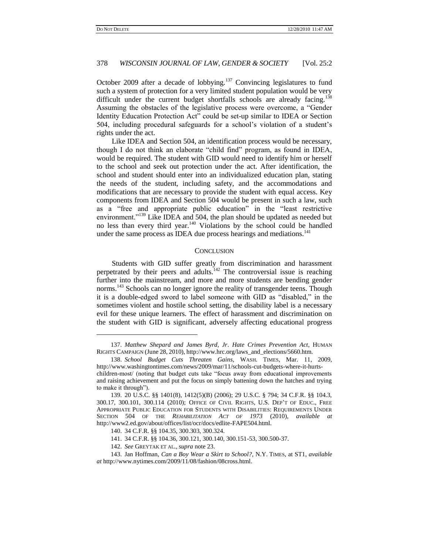$\overline{\phantom{a}}$ 

## 378 *WISCONSIN JOURNAL OF LAW, GENDER & SOCIETY* [Vol. 25:2

October 2009 after a decade of lobbying.<sup>137</sup> Convincing legislatures to fund such a system of protection for a very limited student population would be very difficult under the current budget shortfalls schools are already facing.<sup>138</sup> Assuming the obstacles of the legislative process were overcome, a "Gender Identity Education Protection Act" could be set-up similar to IDEA or Section 504, including procedural safeguards for a school"s violation of a student"s rights under the act.

Like IDEA and Section 504, an identification process would be necessary, though I do not think an elaborate "child find" program, as found in IDEA, would be required. The student with GID would need to identify him or herself to the school and seek out protection under the act. After identification, the school and student should enter into an individualized education plan, stating the needs of the student, including safety, and the accommodations and modifications that are necessary to provide the student with equal access. Key components from IDEA and Section 504 would be present in such a law, such as a "free and appropriate public education" in the "least restrictive environment."<sup>139</sup> Like IDEA and 504, the plan should be updated as needed but no less than every third year.<sup>140</sup> Violations by the school could be handled under the same process as IDEA due process hearings and mediations.<sup>141</sup>

#### **CONCLUSION**

Students with GID suffer greatly from discrimination and harassment perpetrated by their peers and adults.<sup>142</sup> The controversial issue is reaching further into the mainstream, and more and more students are bending gender norms.<sup>143</sup> Schools can no longer ignore the reality of transgender teens. Though it is a double-edged sword to label someone with GID as "disabled," in the sometimes violent and hostile school setting, the disability label is a necessary evil for these unique learners. The effect of harassment and discrimination on the student with GID is significant, adversely affecting educational progress

<sup>137.</sup> *Matthew Shepard and James Byrd, Jr*. *Hate Crimes Prevention Act*, HUMAN RIGHTS CAMPAIGN (June 28, 2010), http://www.hrc.org/laws\_and\_elections/5660.htm.

<sup>138.</sup> *School Budget Cuts Threaten Gains*, WASH. TIMES, Mar. 11, 2009, http://www.washingtontimes.com/news/2009/mar/11/schools-cut-budgets-where-it-hurtschildren-most/ (noting that budget cuts take "focus away from educational improvements and raising achievement and put the focus on simply battening down the hatches and trying to make it through").

<sup>139.</sup> 20 U.S.C. §§ 1401(8), 1412(5)(B) (2006); 29 U.S.C. § 794; 34 C.F.R. §§ 104.3, 300.17, 300.101, 300.114 (2010); OFFICE OF CIVIL RIGHTS, U.S. DEP"T OF EDUC., FREE APPROPRIATE PUBLIC EDUCATION FOR STUDENTS WITH DISABILITIES: REQUIREMENTS UNDER SECTION 504 OF THE *REHABILITATION ACT OF 1973* (2010), *available at* http://www2.ed.gov/about/offices/list/ocr/docs/edlite-FAPE504.html.

<sup>140.</sup> 34 C.F.R. §§ 104.35, 300.303, 300.324.

<sup>141.</sup> 34 C.F.R. §§ 104.36, 300.121, 300.140, 300.151-53, 300.500-37.

<sup>142.</sup> *See* GREYTAK ET AL., *supra* note 23.

<sup>143.</sup> Jan Hoffman, *Can a Boy Wear a Skirt to School?*, N.Y. TIMES, at ST1, *available at* http://www.nytimes.com/2009/11/08/fashion/08cross.html.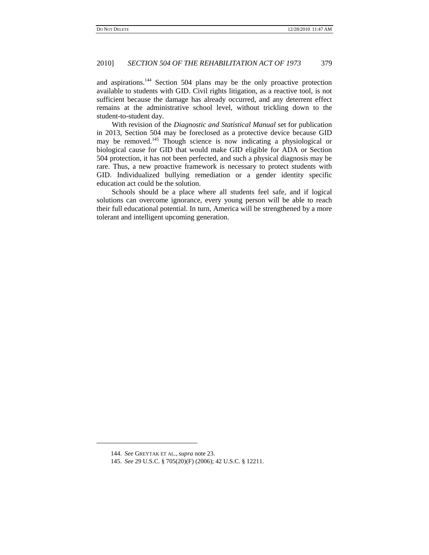and aspirations.<sup>144</sup> Section 504 plans may be the only proactive protection available to students with GID. Civil rights litigation, as a reactive tool, is not sufficient because the damage has already occurred, and any deterrent effect remains at the administrative school level, without trickling down to the student-to-student day.

With revision of the *Diagnostic and Statistical Manual* set for publication in 2013, Section 504 may be foreclosed as a protective device because GID may be removed.<sup>145</sup> Though science is now indicating a physiological or biological cause for GID that would make GID eligible for ADA or Section 504 protection, it has not been perfected, and such a physical diagnosis may be rare. Thus, a new proactive framework is necessary to protect students with GID. Individualized bullying remediation or a gender identity specific education act could be the solution.

Schools should be a place where all students feel safe, and if logical solutions can overcome ignorance, every young person will be able to reach their full educational potential. In turn, America will be strengthened by a more tolerant and intelligent upcoming generation.

l

<sup>144.</sup> *See* GREYTAK ET AL., *supra* note 23.

<sup>145.</sup> *See* 29 U.S.C. § 705(20)(F) (2006); 42 U.S.C. § 12211.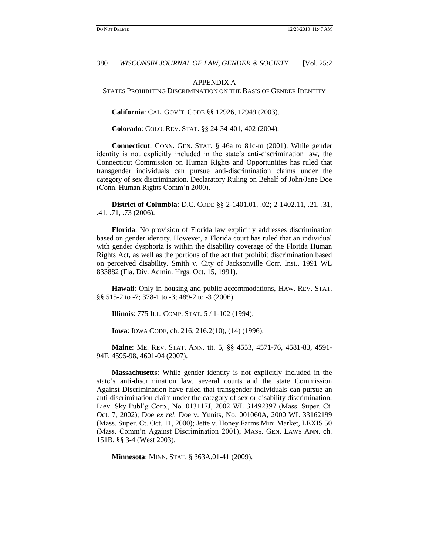#### APPENDIX A

#### STATES PROHIBITING DISCRIMINATION ON THE BASIS OF GENDER IDENTITY

**California**: CAL. GOV"T. CODE §§ 12926, 12949 (2003).

**Colorado**: COLO. REV. STAT. §§ 24-34-401, 402 (2004).

**Connecticut**: CONN. GEN. STAT. § 46a to 81c-m (2001). While gender identity is not explicitly included in the state"s anti-discrimination law, the Connecticut Commission on Human Rights and Opportunities has ruled that transgender individuals can pursue anti-discrimination claims under the category of sex discrimination. Declaratory Ruling on Behalf of John/Jane Doe (Conn. Human Rights Comm"n 2000).

**District of Columbia**: D.C. CODE §§ 2-1401.01, .02; 2-1402.11, .21, .31, .41, .71, .73 (2006).

**Florida**: No provision of Florida law explicitly addresses discrimination based on gender identity. However, a Florida court has ruled that an individual with gender dysphoria is within the disability coverage of the Florida Human Rights Act, as well as the portions of the act that prohibit discrimination based on perceived disability. Smith v. City of Jacksonville Corr. Inst., 1991 WL 833882 (Fla. Div. Admin. Hrgs. Oct. 15, 1991).

**Hawaii**: Only in housing and public accommodations, HAW. REV. STAT. §§ 515-2 to -7; 378-1 to -3; 489-2 to -3 (2006).

**Illinois**: 775 ILL. COMP. STAT. 5 / 1-102 (1994).

**Iowa**: IOWA CODE, ch. 216; 216.2(10), (14) (1996).

**Maine**: ME. REV. STAT. ANN. tit. 5, §§ 4553, 4571-76, 4581-83, 4591- 94F, 4595-98, 4601-04 (2007).

**Massachusetts**: While gender identity is not explicitly included in the state"s anti-discrimination law, several courts and the state Commission Against Discrimination have ruled that transgender individuals can pursue an anti-discrimination claim under the category of sex or disability discrimination. Liev. Sky Publ"g Corp., No. 013117J, 2002 WL 31492397 (Mass. Super. Ct. Oct. 7, 2002); Doe *ex rel.* Doe v. Yunits, No. 001060A, 2000 WL 33162199 (Mass. Super. Ct. Oct. 11, 2000); Jette v. Honey Farms Mini Market, LEXIS 50 (Mass. Comm"n Against Discrimination 2001); MASS. GEN. LAWS ANN. ch. 151B, §§ 3-4 (West 2003).

**Minnesota**: MINN. STAT. § 363A.01-41 (2009).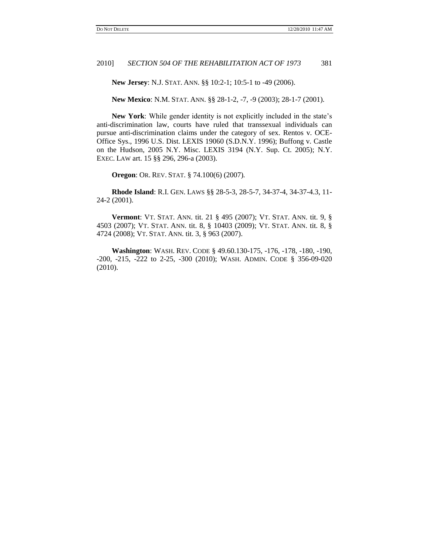**New Jersey**: N.J. STAT. ANN. §§ 10:2-1; 10:5-1 to -49 (2006).

**New Mexico**: N.M. STAT. ANN. §§ 28-1-2, -7, -9 (2003); 28-1-7 (2001).

**New York:** While gender identity is not explicitly included in the state's anti-discrimination law, courts have ruled that transsexual individuals can pursue anti-discrimination claims under the category of sex. Rentos v. OCE-Office Sys., 1996 U.S. Dist. LEXIS 19060 (S.D.N.Y. 1996); Buffong v. Castle on the Hudson, 2005 N.Y. Misc. LEXIS 3194 (N.Y. Sup. Ct. 2005); N.Y. EXEC. LAW art. 15 §§ 296, 296-a (2003).

**Oregon**: OR. REV. STAT. § 74.100(6) (2007)*.*

**Rhode Island**: R.I. GEN. LAWS §§ 28-5-3, 28-5-7, 34-37-4, 34-37-4.3, 11- 24-2 (2001).

**Vermont**: VT. STAT. ANN. tit. 21 § 495 (2007); VT. STAT. ANN. tit. 9, § 4503 (2007); VT. STAT. ANN. tit. 8, § 10403 (2009); VT. STAT. ANN. tit. 8, § 4724 (2008); VT. STAT. ANN. tit. 3, § 963 (2007).

**Washington**: WASH. REV. CODE § 49.60.130-175, -176, -178, -180, -190, -200, -215, -222 to 2-25, -300 (2010); WASH. ADMIN. CODE § 356-09-020 (2010).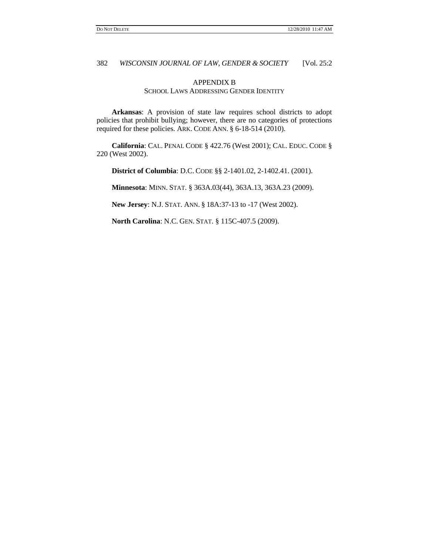## APPENDIX B SCHOOL LAWS ADDRESSING GENDER IDENTITY

**Arkansas**: A provision of state law requires school districts to adopt policies that prohibit bullying; however, there are no categories of protections required for these policies. ARK. CODE ANN. § 6-18-514 (2010).

**California**: CAL. PENAL CODE § 422.76 (West 2001); CAL. EDUC. CODE § 220 (West 2002).

**District of Columbia**: D.C. CODE §§ 2-1401.02, 2-1402.41. (2001).

**Minnesota**: MINN. STAT. § 363A.03(44), 363A.13, 363A.23 (2009).

**New Jersey**: N.J. STAT. ANN. § 18A:37-13 to -17 (West 2002).

**North Carolina**: N.C. GEN. STAT. § 115C-407.5 (2009).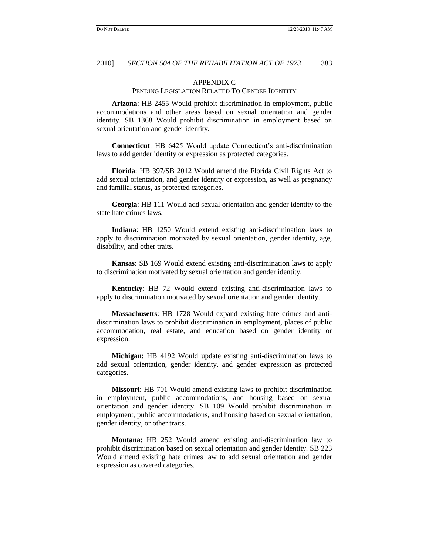## APPENDIX C

#### PENDING LEGISLATION RELATED TO GENDER IDENTITY

**Arizona**: HB 2455 Would prohibit discrimination in employment, public accommodations and other areas based on sexual orientation and gender identity. SB 1368 Would prohibit discrimination in employment based on sexual orientation and gender identity.

**Connecticut**: HB 6425 Would update Connecticut's anti-discrimination laws to add gender identity or expression as protected categories.

**Florida**: HB 397/SB 2012 Would amend the Florida Civil Rights Act to add sexual orientation, and gender identity or expression, as well as pregnancy and familial status, as protected categories.

**Georgia**: HB 111 Would add sexual orientation and gender identity to the state hate crimes laws.

**Indiana**: HB 1250 Would extend existing anti-discrimination laws to apply to discrimination motivated by sexual orientation, gender identity, age, disability, and other traits.

**Kansas**: SB 169 Would extend existing anti-discrimination laws to apply to discrimination motivated by sexual orientation and gender identity.

**Kentucky**: HB 72 Would extend existing anti-discrimination laws to apply to discrimination motivated by sexual orientation and gender identity.

**Massachusetts**: HB 1728 Would expand existing hate crimes and antidiscrimination laws to prohibit discrimination in employment, places of public accommodation, real estate, and education based on gender identity or expression.

**Michigan**: HB 4192 Would update existing anti-discrimination laws to add sexual orientation, gender identity, and gender expression as protected categories.

**Missouri**: HB 701 Would amend existing laws to prohibit discrimination in employment, public accommodations, and housing based on sexual orientation and gender identity. SB 109 Would prohibit discrimination in employment, public accommodations, and housing based on sexual orientation, gender identity, or other traits.

**Montana**: HB 252 Would amend existing anti-discrimination law to prohibit discrimination based on sexual orientation and gender identity. SB 223 Would amend existing hate crimes law to add sexual orientation and gender expression as covered categories.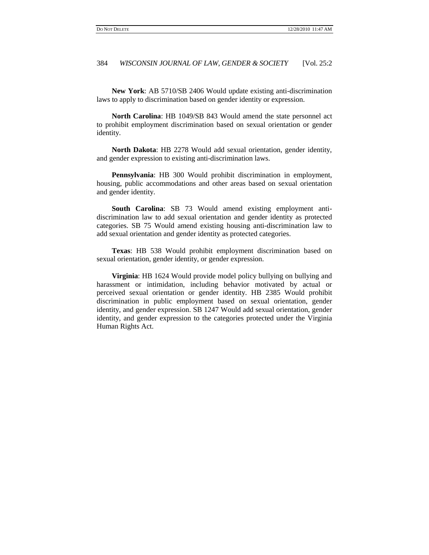**New York**: AB 5710/SB 2406 Would update existing anti-discrimination laws to apply to discrimination based on gender identity or expression.

**North Carolina**: HB 1049/SB 843 Would amend the state personnel act to prohibit employment discrimination based on sexual orientation or gender identity.

**North Dakota**: HB 2278 Would add sexual orientation, gender identity, and gender expression to existing anti-discrimination laws.

**Pennsylvania**: HB 300 Would prohibit discrimination in employment, housing, public accommodations and other areas based on sexual orientation and gender identity.

**South Carolina**: SB 73 Would amend existing employment antidiscrimination law to add sexual orientation and gender identity as protected categories. SB 75 Would amend existing housing anti-discrimination law to add sexual orientation and gender identity as protected categories.

**Texas**: HB 538 Would prohibit employment discrimination based on sexual orientation, gender identity, or gender expression.

**Virginia**: HB 1624 Would provide model policy bullying on bullying and harassment or intimidation, including behavior motivated by actual or perceived sexual orientation or gender identity. HB 2385 Would prohibit discrimination in public employment based on sexual orientation, gender identity, and gender expression. SB 1247 Would add sexual orientation, gender identity, and gender expression to the categories protected under the Virginia Human Rights Act.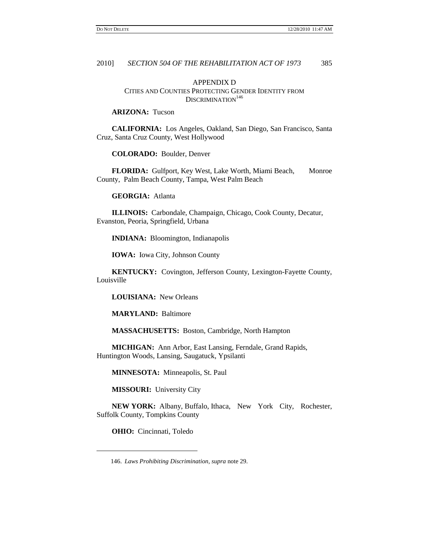## APPENDIX D CITIES AND COUNTIES PROTECTING GENDER IDENTITY FROM  $\mathrm{DISCRIMINATION}^{146}$

## **ARIZONA:** Tucson

**CALIFORNIA:** Los Angeles, Oakland, San Diego, San Francisco, Santa Cruz, Santa Cruz County, West Hollywood

**COLORADO:** Boulder, Denver

FLORIDA: Gulfport, Key West, Lake Worth, Miami Beach, Monroe County, Palm Beach County, Tampa, West Palm Beach

**GEORGIA:** Atlanta

**ILLINOIS:** Carbondale, Champaign, Chicago, Cook County, Decatur, Evanston, Peoria, Springfield, Urbana

**INDIANA:** Bloomington, Indianapolis

**IOWA:** Iowa City, Johnson County

**KENTUCKY:** Covington, Jefferson County, Lexington-Fayette County, Louisville

**LOUISIANA:** New Orleans

**MARYLAND:** Baltimore

**MASSACHUSETTS:** Boston, Cambridge, North Hampton

**MICHIGAN:** Ann Arbor, East Lansing, Ferndale, Grand Rapids, Huntington Woods, Lansing, Saugatuck, Ypsilanti

**MINNESOTA:** Minneapolis, St. Paul

**MISSOURI:** University City

**NEW YORK:** Albany, Buffalo, Ithaca, New York City, Rochester, Suffolk County, Tompkins County

**OHIO:** Cincinnati, Toledo

 $\overline{\phantom{a}}$ 

<sup>146.</sup> *Laws Prohibiting Discrimination*, *supra* note 29.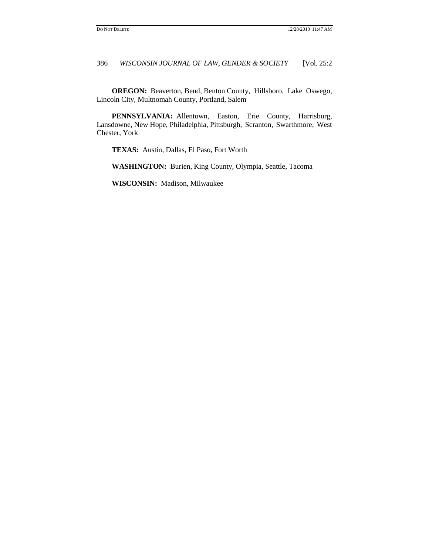**OREGON:** Beaverton, Bend, Benton County, Hillsboro, Lake Oswego, Lincoln City, Multnomah County, Portland, Salem

**PENNSYLVANIA:** Allentown, Easton, Erie County, Harrisburg, Lansdowne, New Hope, Philadelphia, Pittsburgh, Scranton, Swarthmore, West Chester, York

**TEXAS:** Austin, Dallas, El Paso, Fort Worth

**WASHINGTON:** Burien, King County, Olympia, Seattle, Tacoma

**WISCONSIN:** Madison, Milwaukee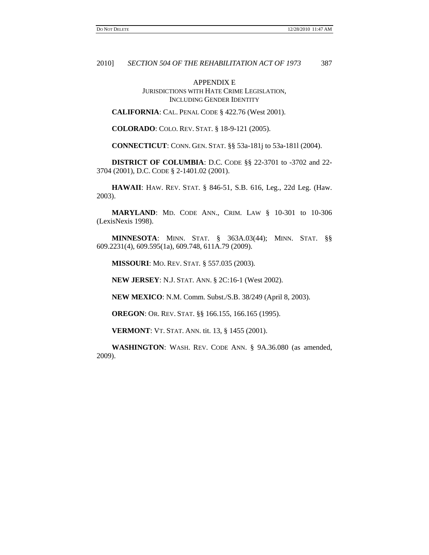APPENDIX E JURISDICTIONS WITH HATE CRIME LEGISLATION, INCLUDING GENDER IDENTITY

**CALIFORNIA**: CAL. PENAL CODE § 422.76 (West 2001).

**COLORADO**: COLO. REV. STAT. § 18-9-121 (2005).

**CONNECTICUT**: CONN. GEN. STAT. §§ 53a-181j to 53a-181l (2004).

**DISTRICT OF COLUMBIA**: D.C. CODE §§ 22-3701 to -3702 and 22- 3704 (2001), D.C. CODE § 2-1401.02 (2001).

**HAWAII**: HAW. REV. STAT. § 846-51, S.B. 616, Leg., 22d Leg. (Haw. 2003).

**MARYLAND**: MD. CODE ANN., CRIM. LAW § 10-301 to 10-306 (LexisNexis 1998).

**MINNESOTA**: MINN. STAT. § 363A.03(44); MINN. STAT. §§ 609.2231(4), 609.595(1a), 609.748, 611A.79 (2009).

**MISSOURI**: MO. REV. STAT*.* § 557.035 (2003)*.*

**NEW JERSEY**: N.J. STAT. ANN. § 2C:16-1 (West 2002).

**NEW MEXICO**: N.M. Comm. Subst./S.B. 38/249 (April 8, 2003).

**OREGON**: OR. REV. STAT. §§ 166.155, 166.165 (1995).

**VERMONT**: VT. STAT. ANN. tit. 13, § 1455 (2001).

**WASHINGTON**: WASH. REV. CODE ANN. § 9A.36.080 (as amended, 2009).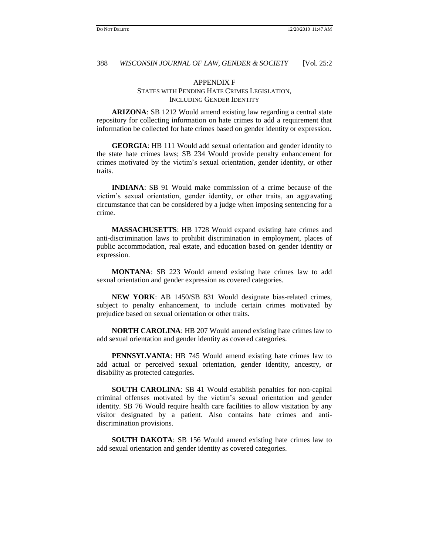## APPENDIX F STATES WITH PENDING HATE CRIMES LEGISLATION, INCLUDING GENDER IDENTITY

**ARIZONA**: SB 1212 Would amend existing law regarding a central state repository for collecting information on hate crimes to add a requirement that information be collected for hate crimes based on gender identity or expression.

**GEORGIA**: HB 111 Would add sexual orientation and gender identity to the state hate crimes laws; SB 234 Would provide penalty enhancement for crimes motivated by the victim"s sexual orientation, gender identity, or other traits.

**INDIANA**: SB 91 Would make commission of a crime because of the victim"s sexual orientation, gender identity, or other traits, an aggravating circumstance that can be considered by a judge when imposing sentencing for a crime.

**MASSACHUSETTS**: HB 1728 Would expand existing hate crimes and anti-discrimination laws to prohibit discrimination in employment, places of public accommodation, real estate, and education based on gender identity or expression.

**MONTANA**: SB 223 Would amend existing hate crimes law to add sexual orientation and gender expression as covered categories.

**NEW YORK**: AB 1450/SB 831 Would designate bias-related crimes, subject to penalty enhancement, to include certain crimes motivated by prejudice based on sexual orientation or other traits.

**NORTH CAROLINA**: HB 207 Would amend existing hate crimes law to add sexual orientation and gender identity as covered categories.

**PENNSYLVANIA**: HB 745 Would amend existing hate crimes law to add actual or perceived sexual orientation, gender identity, ancestry, or disability as protected categories.

**SOUTH CAROLINA**: SB 41 Would establish penalties for non-capital criminal offenses motivated by the victim"s sexual orientation and gender identity. SB 76 Would require health care facilities to allow visitation by any visitor designated by a patient. Also contains hate crimes and antidiscrimination provisions.

**SOUTH DAKOTA**: SB 156 Would amend existing hate crimes law to add sexual orientation and gender identity as covered categories.